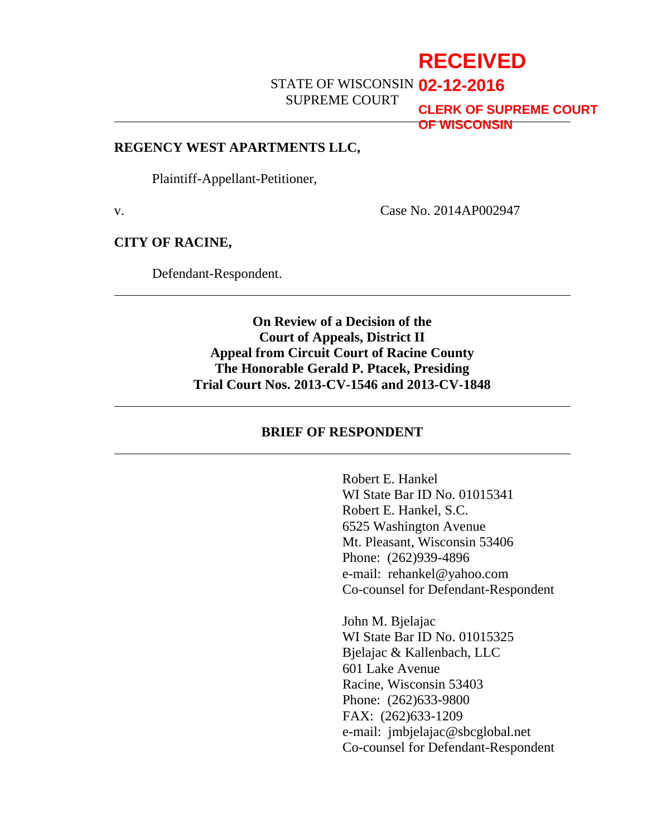## **RECEIVED**

STATE OF WISCONSIN **02-12-2016**

SUPREME COURT

**CLERK OF SUPREME COURT OF WISCONSIN**

#### **REGENCY WEST APARTMENTS LLC,**

Plaintiff-Appellant-Petitioner,

v. Case No. 2014AP002947

#### **CITY OF RACINE,**

Defendant-Respondent.

### **On Review of a Decision of the Court of Appeals, District II Appeal from Circuit Court of Racine County The Honorable Gerald P. Ptacek, Presiding Trial Court Nos. 2013-CV-1546 and 2013-CV-1848**

### **BRIEF OF RESPONDENT**

Robert E. Hankel WI State Bar ID No. 01015341 Robert E. Hankel, S.C. 6525 Washington Avenue Mt. Pleasant, Wisconsin 53406 Phone: (262)939-4896 e-mail: rehankel@yahoo.com Co-counsel for Defendant-Respondent

John M. Bjelajac WI State Bar ID No. 01015325 Bjelajac & Kallenbach, LLC 601 Lake Avenue Racine, Wisconsin 53403 Phone: (262)633-9800 FAX: (262)633-1209 e-mail: jmbjelajac@sbcglobal.net Co-counsel for Defendant-Respondent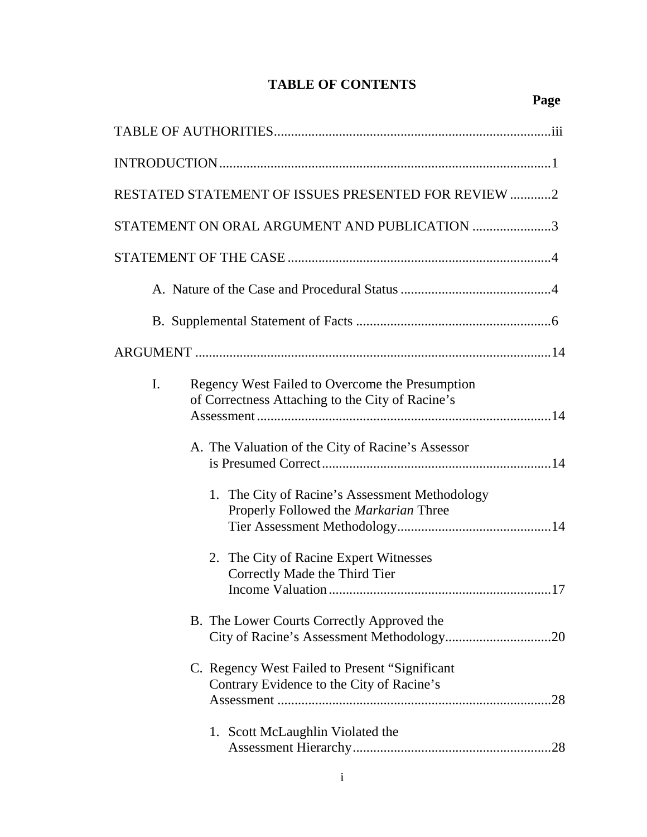## **TABLE OF CONTENTS**

| RESTATED STATEMENT OF ISSUES PRESENTED FOR REVIEW 2                                                       |
|-----------------------------------------------------------------------------------------------------------|
| STATEMENT ON ORAL ARGUMENT AND PUBLICATION 3                                                              |
|                                                                                                           |
|                                                                                                           |
|                                                                                                           |
|                                                                                                           |
| I.<br>Regency West Failed to Overcome the Presumption<br>of Correctness Attaching to the City of Racine's |
| A. The Valuation of the City of Racine's Assessor                                                         |
| 1. The City of Racine's Assessment Methodology<br>Properly Followed the Markarian Three                   |
| 2. The City of Racine Expert Witnesses<br>Correctly Made the Third Tier<br>Income Valuation<br>17         |
| B. The Lower Courts Correctly Approved the                                                                |
| C. Regency West Failed to Present "Significant<br>Contrary Evidence to the City of Racine's               |
| 1. Scott McLaughlin Violated the                                                                          |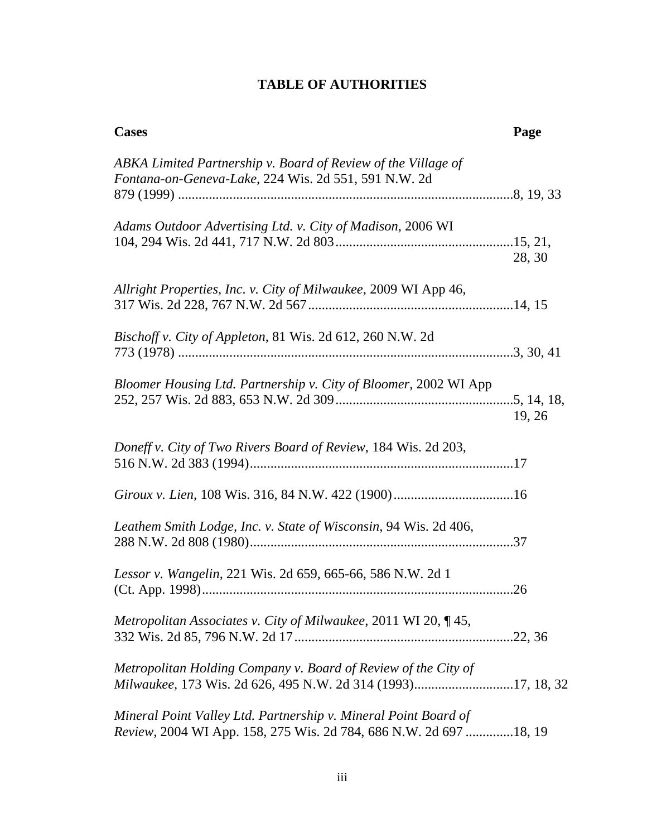## **TABLE OF AUTHORITIES**

| <b>Cases</b>                                                                                                                         | Page       |
|--------------------------------------------------------------------------------------------------------------------------------------|------------|
| ABKA Limited Partnership v. Board of Review of the Village of<br>Fontana-on-Geneva-Lake, 224 Wis. 2d 551, 591 N.W. 2d                |            |
|                                                                                                                                      |            |
| Adams Outdoor Advertising Ltd. v. City of Madison, 2006 WI                                                                           | 28, 30     |
| Allright Properties, Inc. v. City of Milwaukee, 2009 WI App 46,                                                                      |            |
| <i>Bischoff v. City of Appleton, 81 Wis. 2d 612, 260 N.W. 2d</i>                                                                     |            |
| Bloomer Housing Ltd. Partnership v. City of Bloomer, 2002 WI App                                                                     | 19, 26     |
| Doneff v. City of Two Rivers Board of Review, 184 Wis. 2d 203,                                                                       |            |
|                                                                                                                                      |            |
| Leathem Smith Lodge, Inc. v. State of Wisconsin, 94 Wis. 2d 406,                                                                     |            |
| Lessor v. Wangelin, 221 Wis. 2d 659, 665-66, 586 N.W. 2d 1                                                                           | $\dots$ 26 |
| Metropolitan Associates v. City of Milwaukee, 2011 WI 20, 145,                                                                       |            |
| Metropolitan Holding Company v. Board of Review of the City of<br>Milwaukee, 173 Wis. 2d 626, 495 N.W. 2d 314 (1993)17, 18, 32       |            |
| Mineral Point Valley Ltd. Partnership v. Mineral Point Board of<br>Review, 2004 WI App. 158, 275 Wis. 2d 784, 686 N.W. 2d 697 18, 19 |            |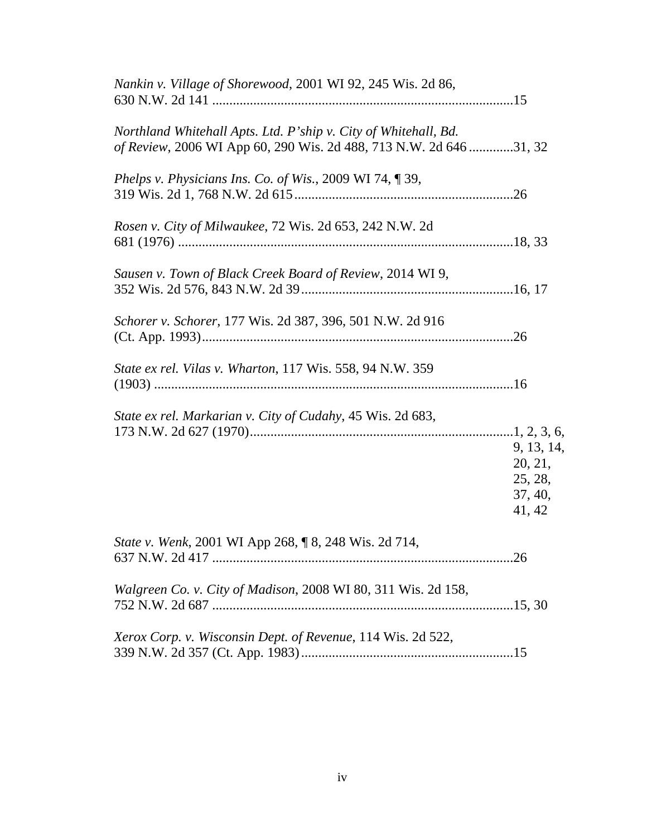| Nankin v. Village of Shorewood, 2001 WI 92, 245 Wis. 2d 86,                                                                           |                                                       |
|---------------------------------------------------------------------------------------------------------------------------------------|-------------------------------------------------------|
| Northland Whitehall Apts. Ltd. P'ship v. City of Whitehall, Bd.<br>of Review, 2006 WI App 60, 290 Wis. 2d 488, 713 N.W. 2d 646 31, 32 |                                                       |
| Phelps v. Physicians Ins. Co. of Wis., 2009 WI 74, 139,                                                                               |                                                       |
| Rosen v. City of Milwaukee, 72 Wis. 2d 653, 242 N.W. 2d                                                                               |                                                       |
| Sausen v. Town of Black Creek Board of Review, 2014 WI 9,                                                                             |                                                       |
| Schorer v. Schorer, 177 Wis. 2d 387, 396, 501 N.W. 2d 916                                                                             |                                                       |
| State ex rel. Vilas v. Wharton, 117 Wis. 558, 94 N.W. 359                                                                             |                                                       |
| State ex rel. Markarian v. City of Cudahy, 45 Wis. 2d 683,                                                                            | 9, 13, 14,<br>20, 21,<br>25, 28,<br>37, 40,<br>41, 42 |
| State v. Wenk, 2001 WI App 268, ¶ 8, 248 Wis. 2d 714,                                                                                 |                                                       |
| Walgreen Co. v. City of Madison, 2008 WI 80, 311 Wis. 2d 158,                                                                         |                                                       |
| Xerox Corp. v. Wisconsin Dept. of Revenue, 114 Wis. 2d 522,                                                                           |                                                       |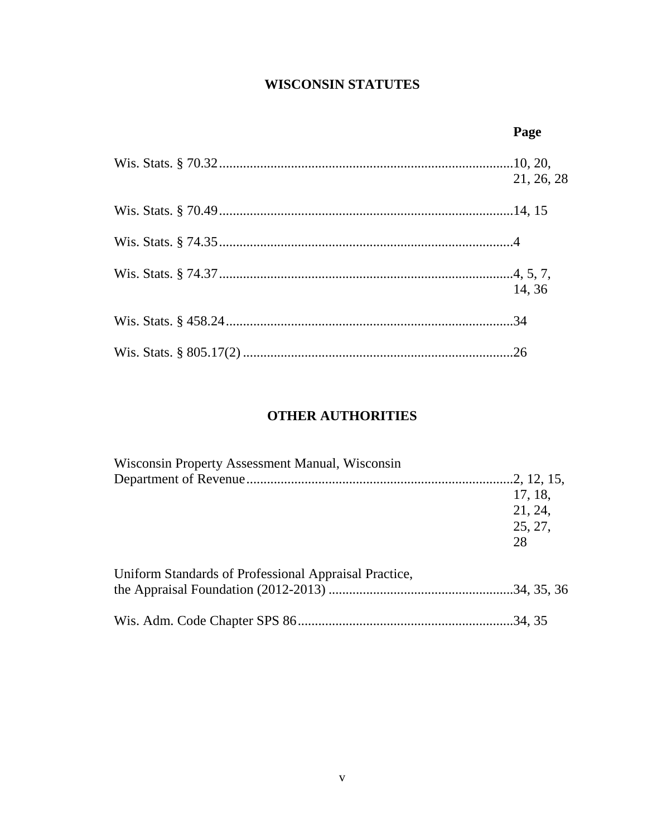### **WISCONSIN STATUTES**

| Page       |
|------------|
| 21, 26, 28 |
|            |
|            |
| 14, 36     |
|            |
|            |

### **OTHER AUTHORITIES**

| Wisconsin Property Assessment Manual, Wisconsin       |         |
|-------------------------------------------------------|---------|
|                                                       |         |
|                                                       | 17, 18, |
|                                                       | 21, 24, |
|                                                       | 25, 27, |
|                                                       | 28      |
| Uniform Standards of Professional Appraisal Practice, |         |
|                                                       |         |
|                                                       |         |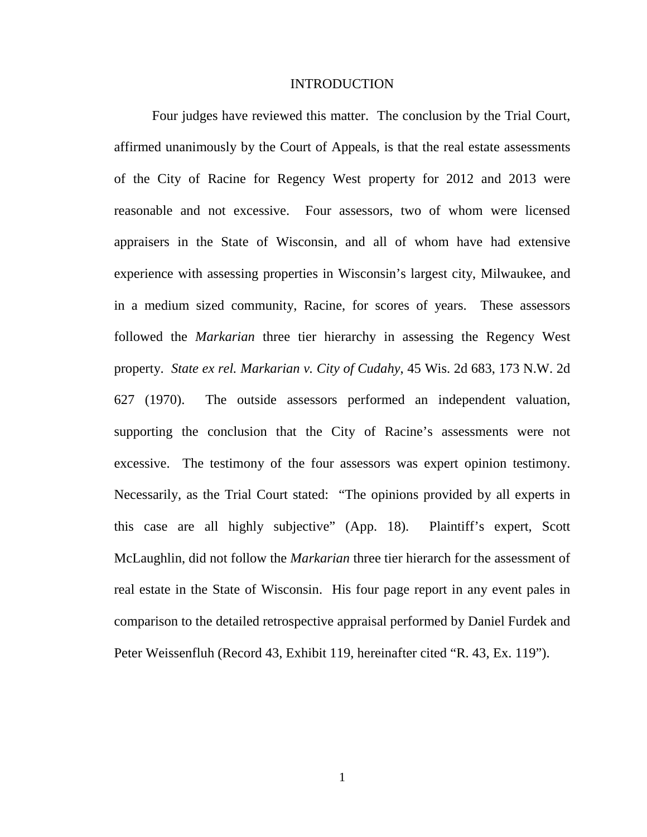#### INTRODUCTION

Four judges have reviewed this matter. The conclusion by the Trial Court, affirmed unanimously by the Court of Appeals, is that the real estate assessments of the City of Racine for Regency West property for 2012 and 2013 were reasonable and not excessive. Four assessors, two of whom were licensed appraisers in the State of Wisconsin, and all of whom have had extensive experience with assessing properties in Wisconsin's largest city, Milwaukee, and in a medium sized community, Racine, for scores of years. These assessors followed the *Markarian* three tier hierarchy in assessing the Regency West property. *State ex rel. Markarian v. City of Cudahy*, 45 Wis. 2d 683, 173 N.W. 2d 627 (1970). The outside assessors performed an independent valuation, supporting the conclusion that the City of Racine's assessments were not excessive. The testimony of the four assessors was expert opinion testimony. Necessarily, as the Trial Court stated: "The opinions provided by all experts in this case are all highly subjective" (App. 18). Plaintiff's expert, Scott McLaughlin, did not follow the *Markarian* three tier hierarch for the assessment of real estate in the State of Wisconsin. His four page report in any event pales in comparison to the detailed retrospective appraisal performed by Daniel Furdek and Peter Weissenfluh (Record 43, Exhibit 119, hereinafter cited "R. 43, Ex. 119").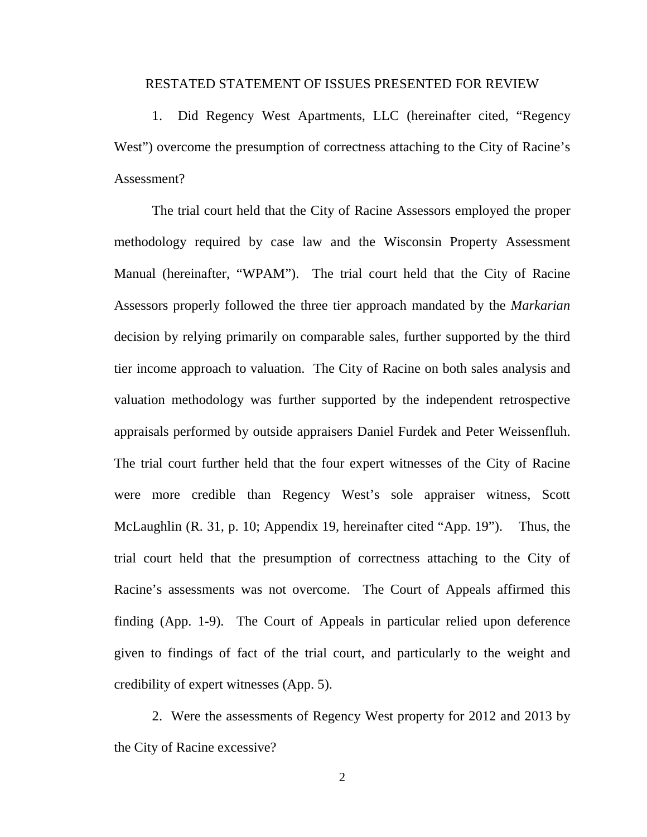#### RESTATED STATEMENT OF ISSUES PRESENTED FOR REVIEW

1. Did Regency West Apartments, LLC (hereinafter cited, "Regency West") overcome the presumption of correctness attaching to the City of Racine's Assessment?

The trial court held that the City of Racine Assessors employed the proper methodology required by case law and the Wisconsin Property Assessment Manual (hereinafter, "WPAM"). The trial court held that the City of Racine Assessors properly followed the three tier approach mandated by the *Markarian* decision by relying primarily on comparable sales, further supported by the third tier income approach to valuation. The City of Racine on both sales analysis and valuation methodology was further supported by the independent retrospective appraisals performed by outside appraisers Daniel Furdek and Peter Weissenfluh. The trial court further held that the four expert witnesses of the City of Racine were more credible than Regency West's sole appraiser witness, Scott McLaughlin (R. 31, p. 10; Appendix 19, hereinafter cited "App. 19"). Thus, the trial court held that the presumption of correctness attaching to the City of Racine's assessments was not overcome. The Court of Appeals affirmed this finding (App. 1-9). The Court of Appeals in particular relied upon deference given to findings of fact of the trial court, and particularly to the weight and credibility of expert witnesses (App. 5).

2. Were the assessments of Regency West property for 2012 and 2013 by the City of Racine excessive?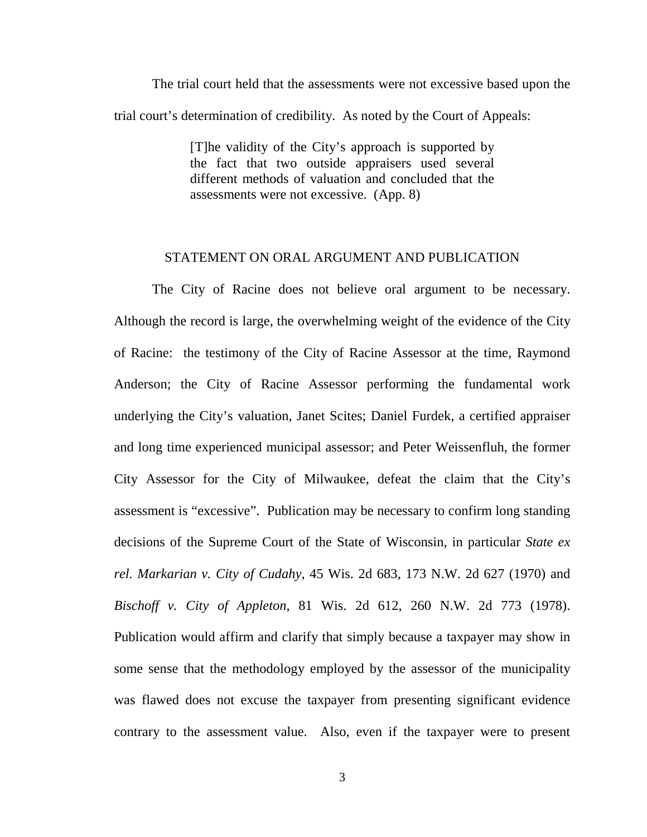The trial court held that the assessments were not excessive based upon the trial court's determination of credibility. As noted by the Court of Appeals:

> [T]he validity of the City's approach is supported by the fact that two outside appraisers used several different methods of valuation and concluded that the assessments were not excessive. (App. 8)

#### STATEMENT ON ORAL ARGUMENT AND PUBLICATION

The City of Racine does not believe oral argument to be necessary. Although the record is large, the overwhelming weight of the evidence of the City of Racine: the testimony of the City of Racine Assessor at the time, Raymond Anderson; the City of Racine Assessor performing the fundamental work underlying the City's valuation, Janet Scites; Daniel Furdek, a certified appraiser and long time experienced municipal assessor; and Peter Weissenfluh, the former City Assessor for the City of Milwaukee, defeat the claim that the City's assessment is "excessive". Publication may be necessary to confirm long standing decisions of the Supreme Court of the State of Wisconsin, in particular *State ex rel. Markarian v. City of Cudahy*, 45 Wis. 2d 683, 173 N.W. 2d 627 (1970) and *Bischoff v. City of Appleton*, 81 Wis. 2d 612, 260 N.W. 2d 773 (1978). Publication would affirm and clarify that simply because a taxpayer may show in some sense that the methodology employed by the assessor of the municipality was flawed does not excuse the taxpayer from presenting significant evidence contrary to the assessment value. Also, even if the taxpayer were to present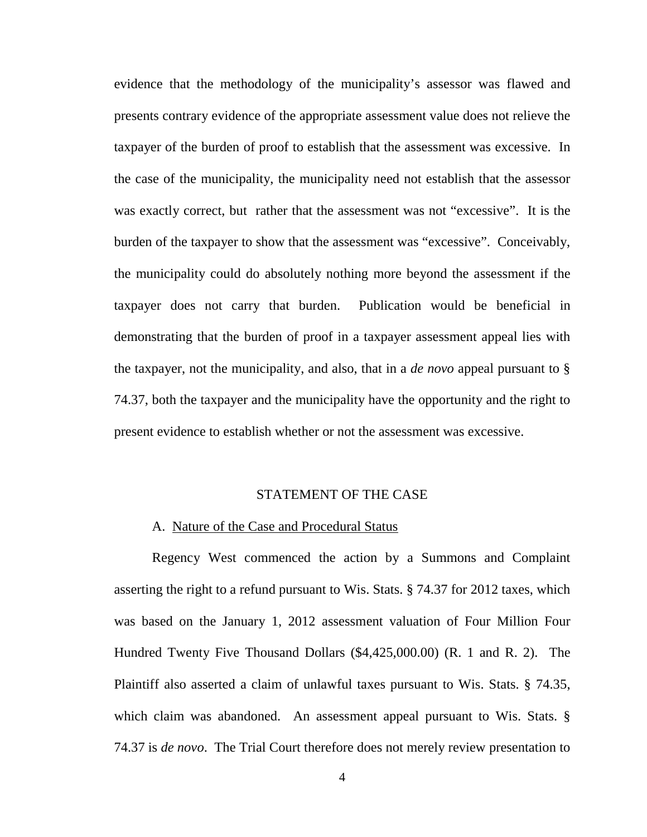evidence that the methodology of the municipality's assessor was flawed and presents contrary evidence of the appropriate assessment value does not relieve the taxpayer of the burden of proof to establish that the assessment was excessive. In the case of the municipality, the municipality need not establish that the assessor was exactly correct, but rather that the assessment was not "excessive". It is the burden of the taxpayer to show that the assessment was "excessive". Conceivably, the municipality could do absolutely nothing more beyond the assessment if the taxpayer does not carry that burden. Publication would be beneficial in demonstrating that the burden of proof in a taxpayer assessment appeal lies with the taxpayer, not the municipality, and also, that in a *de novo* appeal pursuant to § 74.37, both the taxpayer and the municipality have the opportunity and the right to present evidence to establish whether or not the assessment was excessive.

#### STATEMENT OF THE CASE

#### A. Nature of the Case and Procedural Status

Regency West commenced the action by a Summons and Complaint asserting the right to a refund pursuant to Wis. Stats. § 74.37 for 2012 taxes, which was based on the January 1, 2012 assessment valuation of Four Million Four Hundred Twenty Five Thousand Dollars (\$4,425,000.00) (R. 1 and R. 2). The Plaintiff also asserted a claim of unlawful taxes pursuant to Wis. Stats. § 74.35, which claim was abandoned. An assessment appeal pursuant to Wis. Stats. § 74.37 is *de novo*. The Trial Court therefore does not merely review presentation to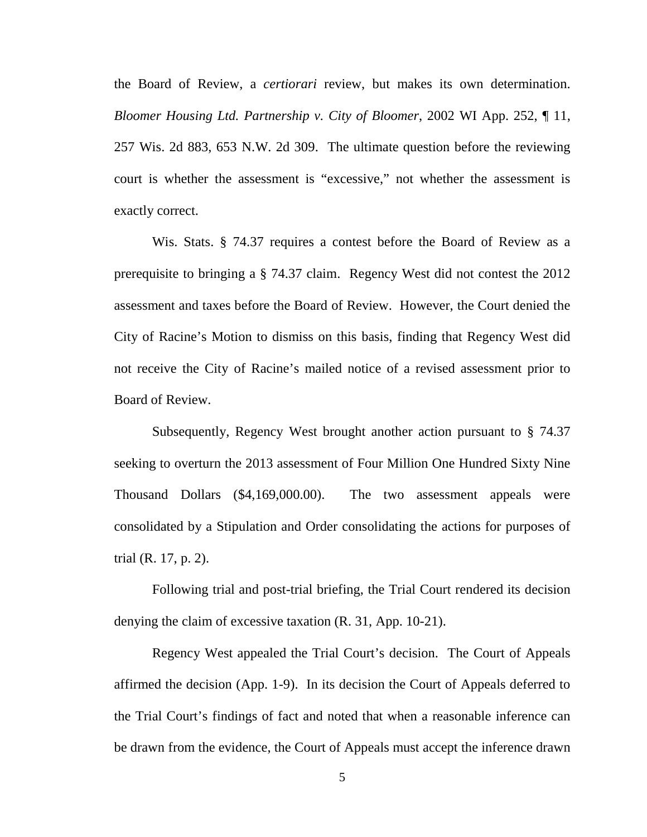the Board of Review, a *certiorari* review, but makes its own determination. *Bloomer Housing Ltd. Partnership v. City of Bloomer*, 2002 WI App. 252, ¶ 11, 257 Wis. 2d 883, 653 N.W. 2d 309. The ultimate question before the reviewing court is whether the assessment is "excessive," not whether the assessment is exactly correct.

Wis. Stats. § 74.37 requires a contest before the Board of Review as a prerequisite to bringing a § 74.37 claim. Regency West did not contest the 2012 assessment and taxes before the Board of Review. However, the Court denied the City of Racine's Motion to dismiss on this basis, finding that Regency West did not receive the City of Racine's mailed notice of a revised assessment prior to Board of Review.

Subsequently, Regency West brought another action pursuant to § 74.37 seeking to overturn the 2013 assessment of Four Million One Hundred Sixty Nine Thousand Dollars (\$4,169,000.00). The two assessment appeals were consolidated by a Stipulation and Order consolidating the actions for purposes of trial (R. 17, p. 2).

Following trial and post-trial briefing, the Trial Court rendered its decision denying the claim of excessive taxation (R. 31, App. 10-21).

Regency West appealed the Trial Court's decision. The Court of Appeals affirmed the decision (App. 1-9). In its decision the Court of Appeals deferred to the Trial Court's findings of fact and noted that when a reasonable inference can be drawn from the evidence, the Court of Appeals must accept the inference drawn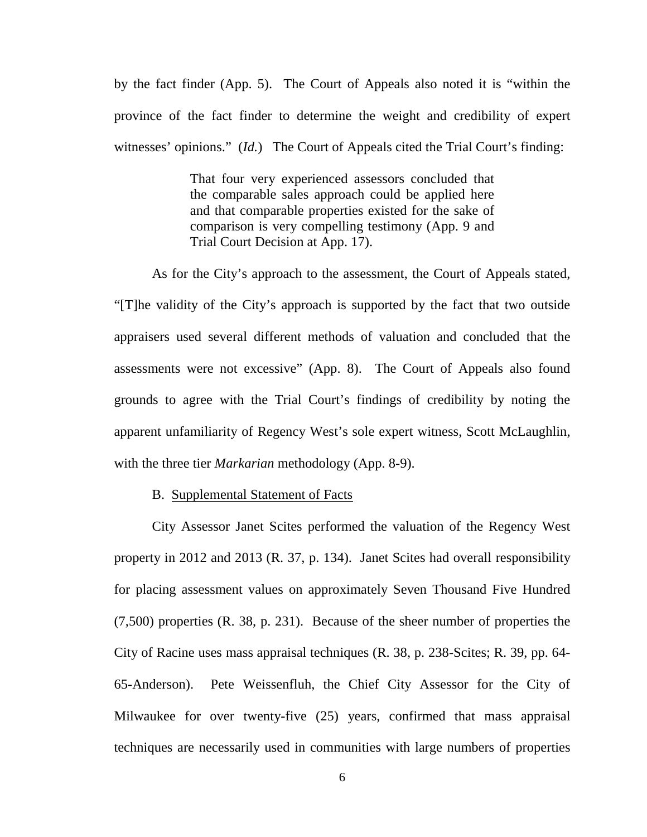by the fact finder (App. 5). The Court of Appeals also noted it is "within the province of the fact finder to determine the weight and credibility of expert witnesses' opinions." (*Id.*) The Court of Appeals cited the Trial Court's finding:

> That four very experienced assessors concluded that the comparable sales approach could be applied here and that comparable properties existed for the sake of comparison is very compelling testimony (App. 9 and Trial Court Decision at App. 17).

As for the City's approach to the assessment, the Court of Appeals stated, "[T]he validity of the City's approach is supported by the fact that two outside appraisers used several different methods of valuation and concluded that the assessments were not excessive" (App. 8). The Court of Appeals also found grounds to agree with the Trial Court's findings of credibility by noting the apparent unfamiliarity of Regency West's sole expert witness, Scott McLaughlin, with the three tier *Markarian* methodology (App. 8-9).

#### B. Supplemental Statement of Facts

City Assessor Janet Scites performed the valuation of the Regency West property in 2012 and 2013 (R. 37, p. 134). Janet Scites had overall responsibility for placing assessment values on approximately Seven Thousand Five Hundred (7,500) properties (R. 38, p. 231). Because of the sheer number of properties the City of Racine uses mass appraisal techniques (R. 38, p. 238-Scites; R. 39, pp. 64- 65-Anderson). Pete Weissenfluh, the Chief City Assessor for the City of Milwaukee for over twenty-five (25) years, confirmed that mass appraisal techniques are necessarily used in communities with large numbers of properties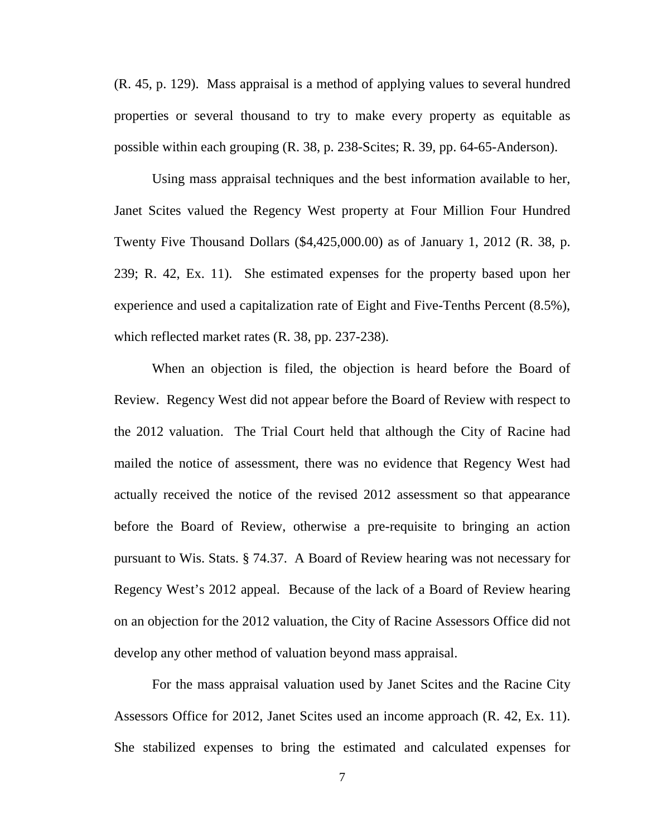(R. 45, p. 129). Mass appraisal is a method of applying values to several hundred properties or several thousand to try to make every property as equitable as possible within each grouping (R. 38, p. 238-Scites; R. 39, pp. 64-65-Anderson).

Using mass appraisal techniques and the best information available to her, Janet Scites valued the Regency West property at Four Million Four Hundred Twenty Five Thousand Dollars (\$4,425,000.00) as of January 1, 2012 (R. 38, p. 239; R. 42, Ex. 11). She estimated expenses for the property based upon her experience and used a capitalization rate of Eight and Five-Tenths Percent (8.5%), which reflected market rates (R. 38, pp. 237-238).

When an objection is filed, the objection is heard before the Board of Review. Regency West did not appear before the Board of Review with respect to the 2012 valuation. The Trial Court held that although the City of Racine had mailed the notice of assessment, there was no evidence that Regency West had actually received the notice of the revised 2012 assessment so that appearance before the Board of Review, otherwise a pre-requisite to bringing an action pursuant to Wis. Stats. § 74.37. A Board of Review hearing was not necessary for Regency West's 2012 appeal. Because of the lack of a Board of Review hearing on an objection for the 2012 valuation, the City of Racine Assessors Office did not develop any other method of valuation beyond mass appraisal.

For the mass appraisal valuation used by Janet Scites and the Racine City Assessors Office for 2012, Janet Scites used an income approach (R. 42, Ex. 11). She stabilized expenses to bring the estimated and calculated expenses for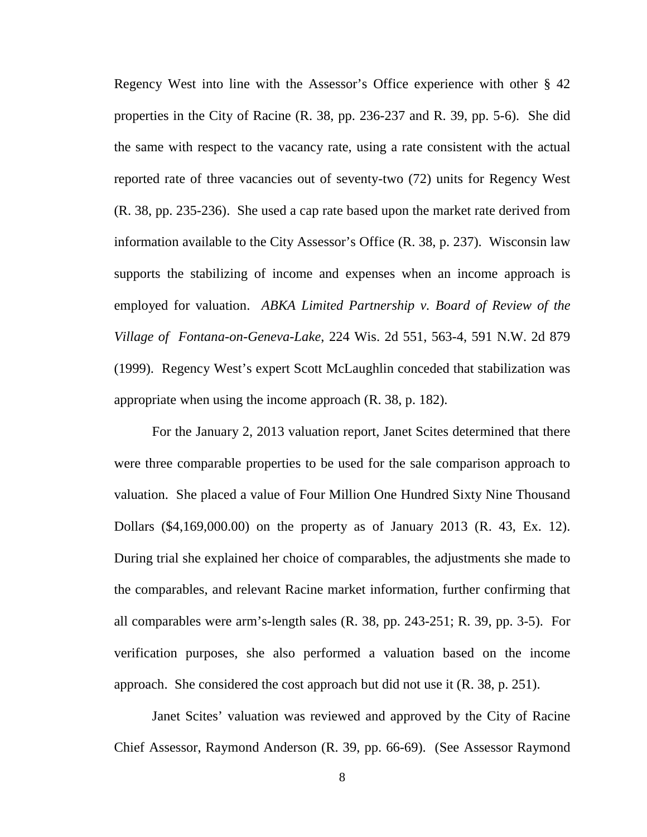Regency West into line with the Assessor's Office experience with other § 42 properties in the City of Racine (R. 38, pp. 236-237 and R. 39, pp. 5-6). She did the same with respect to the vacancy rate, using a rate consistent with the actual reported rate of three vacancies out of seventy-two (72) units for Regency West (R. 38, pp. 235-236). She used a cap rate based upon the market rate derived from information available to the City Assessor's Office (R. 38, p. 237). Wisconsin law supports the stabilizing of income and expenses when an income approach is employed for valuation. *ABKA Limited Partnership v. Board of Review of the Village of Fontana-on-Geneva-Lake*, 224 Wis. 2d 551, 563-4, 591 N.W. 2d 879 (1999). Regency West's expert Scott McLaughlin conceded that stabilization was appropriate when using the income approach (R. 38, p. 182).

For the January 2, 2013 valuation report, Janet Scites determined that there were three comparable properties to be used for the sale comparison approach to valuation. She placed a value of Four Million One Hundred Sixty Nine Thousand Dollars (\$4,169,000.00) on the property as of January 2013 (R. 43, Ex. 12). During trial she explained her choice of comparables, the adjustments she made to the comparables, and relevant Racine market information, further confirming that all comparables were arm's-length sales (R. 38, pp. 243-251; R. 39, pp. 3-5). For verification purposes, she also performed a valuation based on the income approach. She considered the cost approach but did not use it (R. 38, p. 251).

Janet Scites' valuation was reviewed and approved by the City of Racine Chief Assessor, Raymond Anderson (R. 39, pp. 66-69). (See Assessor Raymond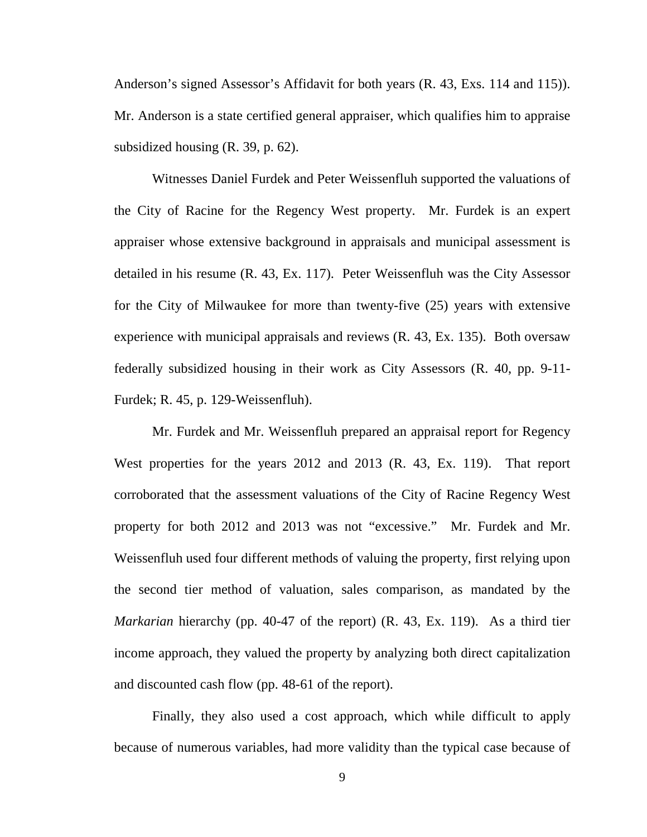Anderson's signed Assessor's Affidavit for both years (R. 43, Exs. 114 and 115)). Mr. Anderson is a state certified general appraiser, which qualifies him to appraise subsidized housing (R. 39, p. 62).

Witnesses Daniel Furdek and Peter Weissenfluh supported the valuations of the City of Racine for the Regency West property. Mr. Furdek is an expert appraiser whose extensive background in appraisals and municipal assessment is detailed in his resume (R. 43, Ex. 117). Peter Weissenfluh was the City Assessor for the City of Milwaukee for more than twenty-five (25) years with extensive experience with municipal appraisals and reviews (R. 43, Ex. 135). Both oversaw federally subsidized housing in their work as City Assessors (R. 40, pp. 9-11- Furdek; R. 45, p. 129-Weissenfluh).

Mr. Furdek and Mr. Weissenfluh prepared an appraisal report for Regency West properties for the years 2012 and 2013 (R. 43, Ex. 119). That report corroborated that the assessment valuations of the City of Racine Regency West property for both 2012 and 2013 was not "excessive." Mr. Furdek and Mr. Weissenfluh used four different methods of valuing the property, first relying upon the second tier method of valuation, sales comparison, as mandated by the *Markarian* hierarchy (pp. 40-47 of the report) (R. 43, Ex. 119). As a third tier income approach, they valued the property by analyzing both direct capitalization and discounted cash flow (pp. 48-61 of the report).

Finally, they also used a cost approach, which while difficult to apply because of numerous variables, had more validity than the typical case because of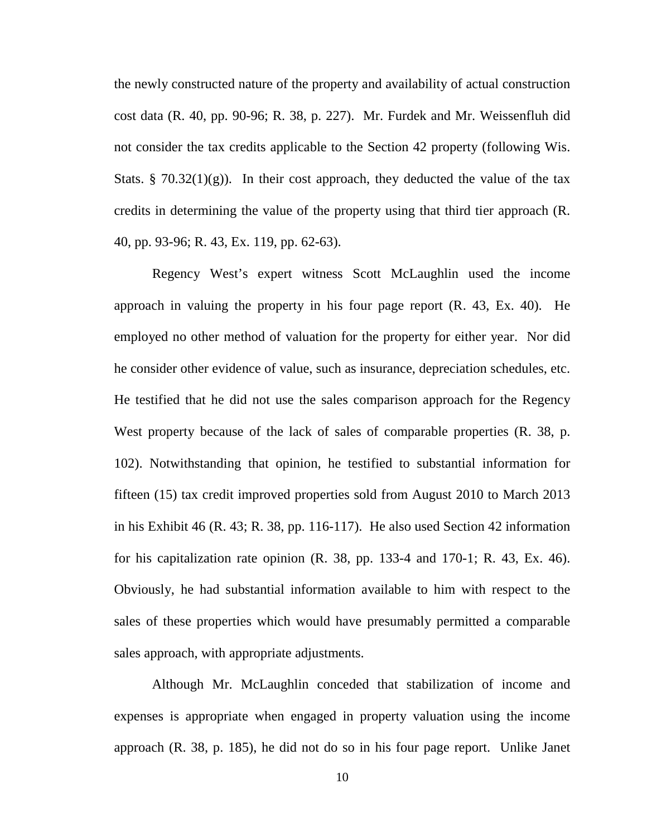the newly constructed nature of the property and availability of actual construction cost data (R. 40, pp. 90-96; R. 38, p. 227). Mr. Furdek and Mr. Weissenfluh did not consider the tax credits applicable to the Section 42 property (following Wis. Stats. § 70.32(1)(g)). In their cost approach, they deducted the value of the tax credits in determining the value of the property using that third tier approach (R. 40, pp. 93-96; R. 43, Ex. 119, pp. 62-63).

Regency West's expert witness Scott McLaughlin used the income approach in valuing the property in his four page report (R. 43, Ex. 40). He employed no other method of valuation for the property for either year. Nor did he consider other evidence of value, such as insurance, depreciation schedules, etc. He testified that he did not use the sales comparison approach for the Regency West property because of the lack of sales of comparable properties (R. 38, p. 102). Notwithstanding that opinion, he testified to substantial information for fifteen (15) tax credit improved properties sold from August 2010 to March 2013 in his Exhibit 46 (R. 43; R. 38, pp. 116-117). He also used Section 42 information for his capitalization rate opinion  $(R. 38, pp. 133-4, and 170-1; R. 43, Ex. 46)$ . Obviously, he had substantial information available to him with respect to the sales of these properties which would have presumably permitted a comparable sales approach, with appropriate adjustments.

Although Mr. McLaughlin conceded that stabilization of income and expenses is appropriate when engaged in property valuation using the income approach (R. 38, p. 185), he did not do so in his four page report. Unlike Janet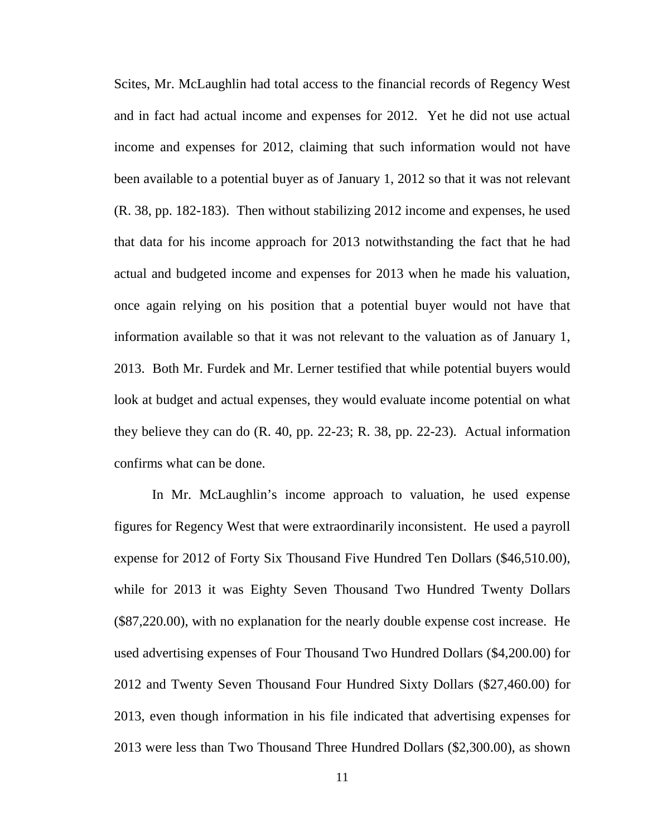Scites, Mr. McLaughlin had total access to the financial records of Regency West and in fact had actual income and expenses for 2012. Yet he did not use actual income and expenses for 2012, claiming that such information would not have been available to a potential buyer as of January 1, 2012 so that it was not relevant (R. 38, pp. 182-183). Then without stabilizing 2012 income and expenses, he used that data for his income approach for 2013 notwithstanding the fact that he had actual and budgeted income and expenses for 2013 when he made his valuation, once again relying on his position that a potential buyer would not have that information available so that it was not relevant to the valuation as of January 1, 2013. Both Mr. Furdek and Mr. Lerner testified that while potential buyers would look at budget and actual expenses, they would evaluate income potential on what they believe they can do (R. 40, pp. 22-23; R. 38, pp. 22-23). Actual information confirms what can be done.

In Mr. McLaughlin's income approach to valuation, he used expense figures for Regency West that were extraordinarily inconsistent. He used a payroll expense for 2012 of Forty Six Thousand Five Hundred Ten Dollars (\$46,510.00), while for 2013 it was Eighty Seven Thousand Two Hundred Twenty Dollars (\$87,220.00), with no explanation for the nearly double expense cost increase. He used advertising expenses of Four Thousand Two Hundred Dollars (\$4,200.00) for 2012 and Twenty Seven Thousand Four Hundred Sixty Dollars (\$27,460.00) for 2013, even though information in his file indicated that advertising expenses for 2013 were less than Two Thousand Three Hundred Dollars (\$2,300.00), as shown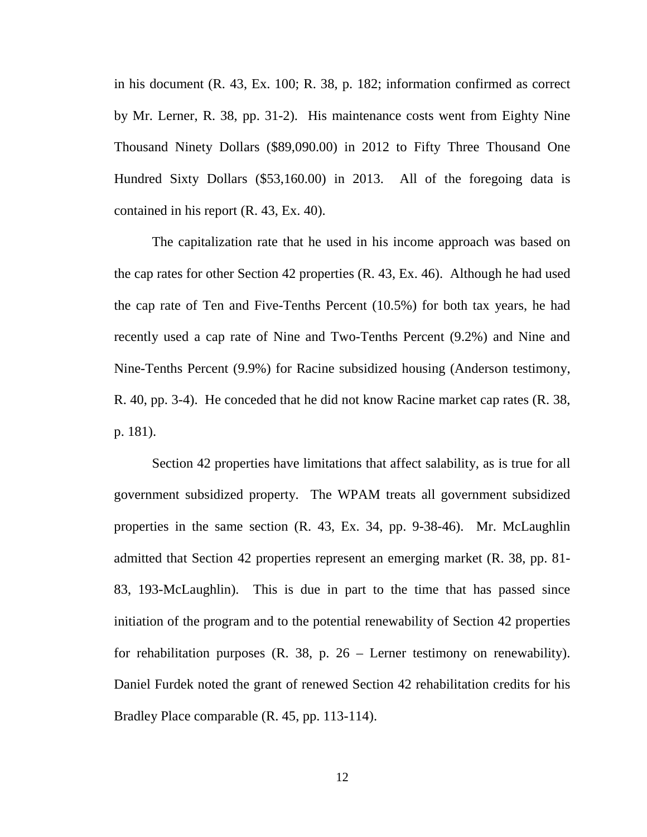in his document (R. 43, Ex. 100; R. 38, p. 182; information confirmed as correct by Mr. Lerner, R. 38, pp. 31-2). His maintenance costs went from Eighty Nine Thousand Ninety Dollars (\$89,090.00) in 2012 to Fifty Three Thousand One Hundred Sixty Dollars (\$53,160.00) in 2013. All of the foregoing data is contained in his report (R. 43, Ex. 40).

The capitalization rate that he used in his income approach was based on the cap rates for other Section 42 properties (R. 43, Ex. 46). Although he had used the cap rate of Ten and Five-Tenths Percent (10.5%) for both tax years, he had recently used a cap rate of Nine and Two-Tenths Percent (9.2%) and Nine and Nine-Tenths Percent (9.9%) for Racine subsidized housing (Anderson testimony, R. 40, pp. 3-4). He conceded that he did not know Racine market cap rates (R. 38, p. 181).

Section 42 properties have limitations that affect salability, as is true for all government subsidized property. The WPAM treats all government subsidized properties in the same section (R. 43, Ex. 34, pp. 9-38-46). Mr. McLaughlin admitted that Section 42 properties represent an emerging market (R. 38, pp. 81- 83, 193-McLaughlin). This is due in part to the time that has passed since initiation of the program and to the potential renewability of Section 42 properties for rehabilitation purposes  $(R. 38, p. 26 - L$ erner testimony on renewability). Daniel Furdek noted the grant of renewed Section 42 rehabilitation credits for his Bradley Place comparable (R. 45, pp. 113-114).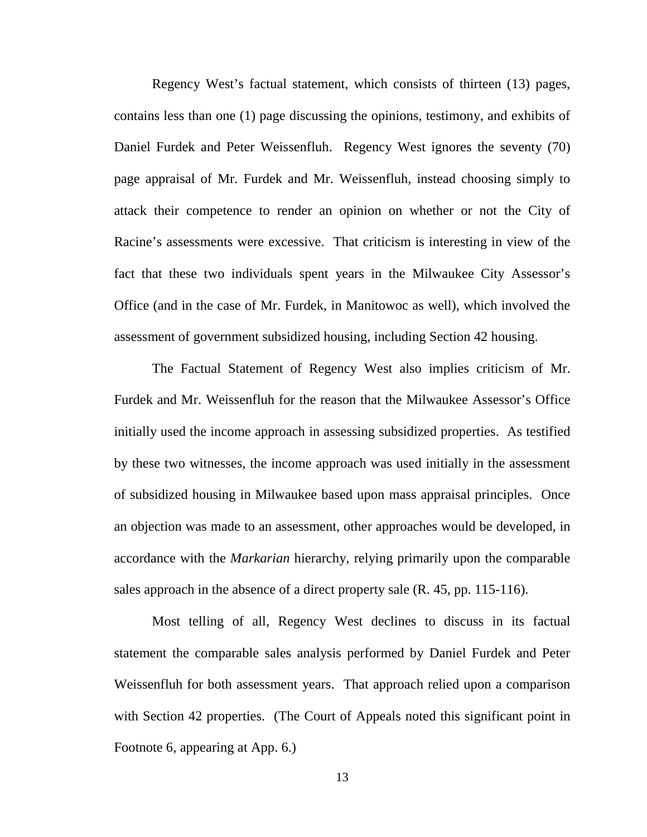Regency West's factual statement, which consists of thirteen (13) pages, contains less than one (1) page discussing the opinions, testimony, and exhibits of Daniel Furdek and Peter Weissenfluh. Regency West ignores the seventy (70) page appraisal of Mr. Furdek and Mr. Weissenfluh, instead choosing simply to attack their competence to render an opinion on whether or not the City of Racine's assessments were excessive. That criticism is interesting in view of the fact that these two individuals spent years in the Milwaukee City Assessor's Office (and in the case of Mr. Furdek, in Manitowoc as well), which involved the assessment of government subsidized housing, including Section 42 housing.

The Factual Statement of Regency West also implies criticism of Mr. Furdek and Mr. Weissenfluh for the reason that the Milwaukee Assessor's Office initially used the income approach in assessing subsidized properties. As testified by these two witnesses, the income approach was used initially in the assessment of subsidized housing in Milwaukee based upon mass appraisal principles. Once an objection was made to an assessment, other approaches would be developed, in accordance with the *Markarian* hierarchy, relying primarily upon the comparable sales approach in the absence of a direct property sale (R. 45, pp. 115-116).

Most telling of all, Regency West declines to discuss in its factual statement the comparable sales analysis performed by Daniel Furdek and Peter Weissenfluh for both assessment years. That approach relied upon a comparison with Section 42 properties. (The Court of Appeals noted this significant point in Footnote 6, appearing at App. 6.)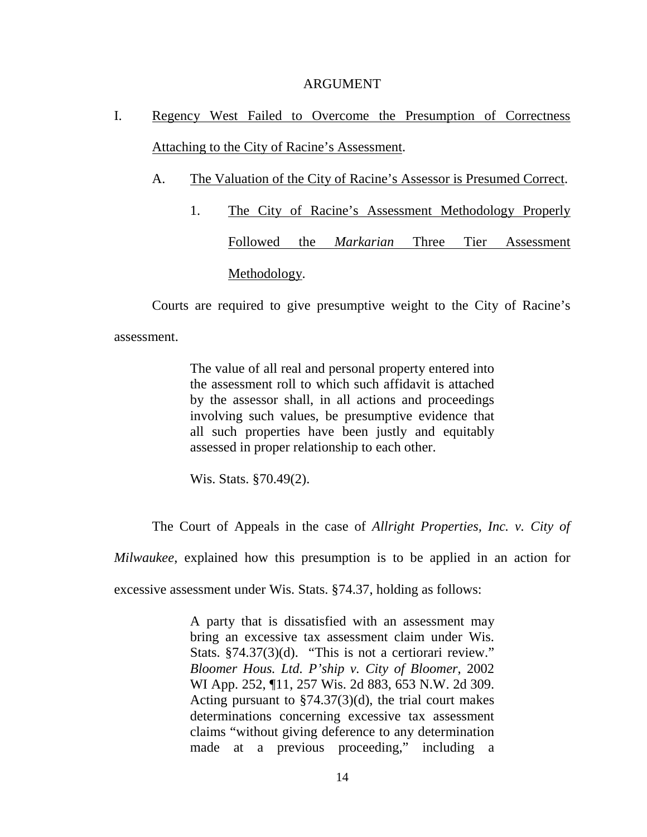#### ARGUMENT

- I. Regency West Failed to Overcome the Presumption of Correctness Attaching to the City of Racine's Assessment.
	- A. The Valuation of the City of Racine's Assessor is Presumed Correct.
		- 1. The City of Racine's Assessment Methodology Properly Followed the *Markarian* Three Tier Assessment Methodology.

Courts are required to give presumptive weight to the City of Racine's

assessment.

The value of all real and personal property entered into the assessment roll to which such affidavit is attached by the assessor shall, in all actions and proceedings involving such values, be presumptive evidence that all such properties have been justly and equitably assessed in proper relationship to each other.

Wis. Stats. §70.49(2).

The Court of Appeals in the case of *Allright Properties, Inc. v. City of* 

*Milwaukee*, explained how this presumption is to be applied in an action for

excessive assessment under Wis. Stats. §74.37, holding as follows:

A party that is dissatisfied with an assessment may bring an excessive tax assessment claim under Wis. Stats. §74.37(3)(d). "This is not a certiorari review." *Bloomer Hous. Ltd. P'ship v. City of Bloomer*, 2002 WI App. 252, ¶11, 257 Wis. 2d 883, 653 N.W. 2d 309. Acting pursuant to  $\S$ 74.37(3)(d), the trial court makes determinations concerning excessive tax assessment claims "without giving deference to any determination made at a previous proceeding," including a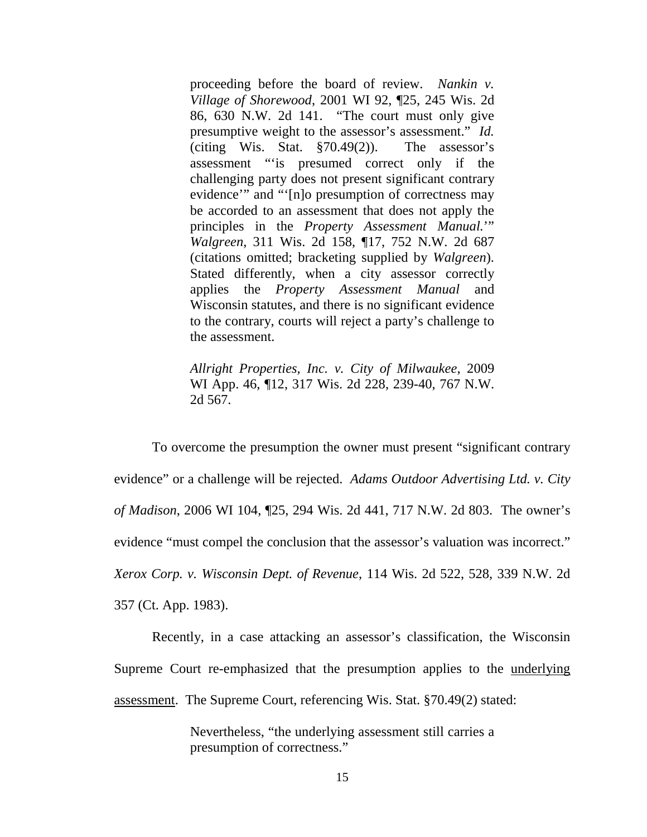proceeding before the board of review. *Nankin v. Village of Shorewood*, 2001 WI 92, ¶25, 245 Wis. 2d 86, 630 N.W. 2d 141. "The court must only give presumptive weight to the assessor's assessment." *Id.* (citing Wis. Stat. §70.49(2)). The assessor's assessment "'is presumed correct only if the challenging party does not present significant contrary evidence'" and "'[n]o presumption of correctness may be accorded to an assessment that does not apply the principles in the *Property Assessment Manual.*'" *Walgreen*, 311 Wis. 2d 158, ¶17, 752 N.W. 2d 687 (citations omitted; bracketing supplied by *Walgreen*). Stated differently, when a city assessor correctly applies the *Property Assessment Manual* and Wisconsin statutes, and there is no significant evidence to the contrary, courts will reject a party's challenge to the assessment.

*Allright Properties, Inc. v. City of Milwaukee*, 2009 WI App. 46, ¶12, 317 Wis. 2d 228, 239-40, 767 N.W. 2d 567.

To overcome the presumption the owner must present "significant contrary evidence" or a challenge will be rejected. *Adams Outdoor Advertising Ltd. v. City of Madison*, 2006 WI 104, ¶25, 294 Wis. 2d 441, 717 N.W. 2d 803. The owner's evidence "must compel the conclusion that the assessor's valuation was incorrect." *Xerox Corp. v. Wisconsin Dept. of Revenue*, 114 Wis. 2d 522, 528, 339 N.W. 2d 357 (Ct. App. 1983).

Recently, in a case attacking an assessor's classification, the Wisconsin Supreme Court re-emphasized that the presumption applies to the underlying assessment. The Supreme Court, referencing Wis. Stat. §70.49(2) stated:

> Nevertheless, "the underlying assessment still carries a presumption of correctness."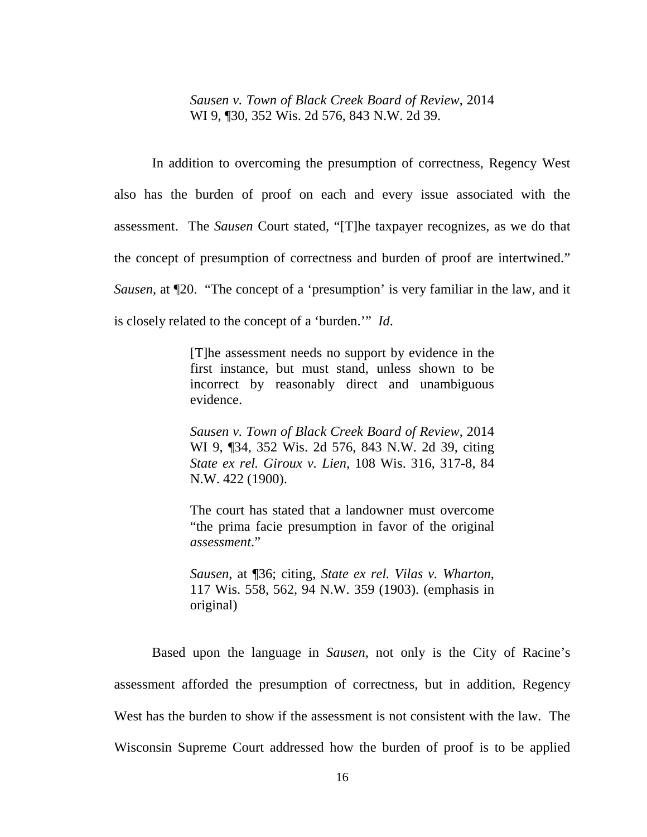*Sausen v. Town of Black Creek Board of Review*, 2014 WI 9, ¶30, 352 Wis. 2d 576, 843 N.W. 2d 39.

In addition to overcoming the presumption of correctness, Regency West also has the burden of proof on each and every issue associated with the assessment. The *Sausen* Court stated, "[T]he taxpayer recognizes, as we do that the concept of presumption of correctness and burden of proof are intertwined." *Sausen*, at ¶20. "The concept of a 'presumption' is very familiar in the law, and it is closely related to the concept of a 'burden.'" *Id*.

> [T]he assessment needs no support by evidence in the first instance, but must stand, unless shown to be incorrect by reasonably direct and unambiguous evidence.

> *Sausen v. Town of Black Creek Board of Review*, 2014 WI 9, ¶34, 352 Wis. 2d 576, 843 N.W. 2d 39, citing *State ex rel. Giroux v. Lien*, 108 Wis. 316, 317-8, 84 N.W. 422 (1900).

> The court has stated that a landowner must overcome "the prima facie presumption in favor of the original *assessment*."

> *Sausen*, at ¶36; citing, *State ex rel. Vilas v. Wharton*, 117 Wis. 558, 562, 94 N.W. 359 (1903). (emphasis in original)

Based upon the language in *Sausen*, not only is the City of Racine's assessment afforded the presumption of correctness, but in addition, Regency West has the burden to show if the assessment is not consistent with the law. The Wisconsin Supreme Court addressed how the burden of proof is to be applied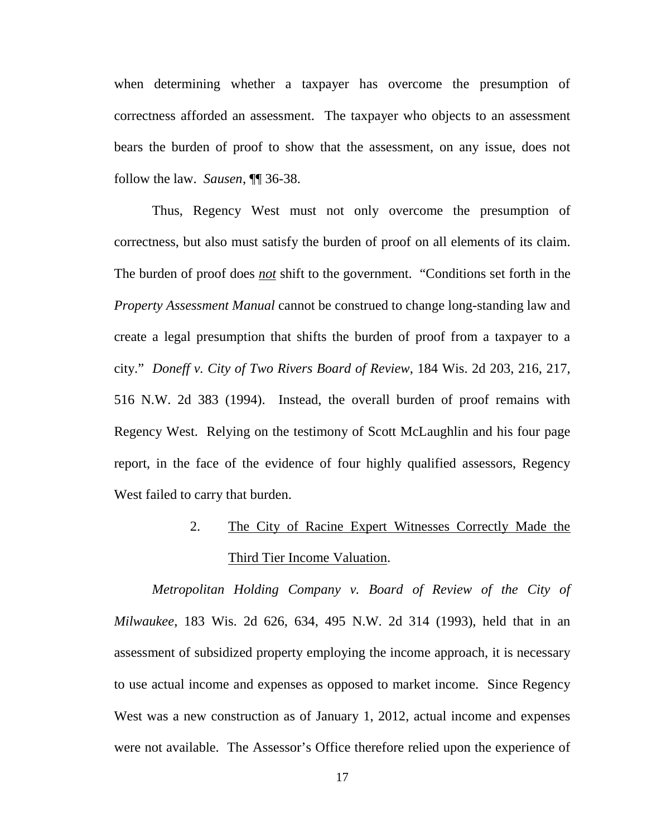when determining whether a taxpayer has overcome the presumption of correctness afforded an assessment. The taxpayer who objects to an assessment bears the burden of proof to show that the assessment, on any issue, does not follow the law. *Sausen*, ¶¶ 36-38.

Thus, Regency West must not only overcome the presumption of correctness, but also must satisfy the burden of proof on all elements of its claim. The burden of proof does *not* shift to the government. "Conditions set forth in the *Property Assessment Manual* cannot be construed to change long-standing law and create a legal presumption that shifts the burden of proof from a taxpayer to a city." *Doneff v. City of Two Rivers Board of Review*, 184 Wis. 2d 203, 216, 217, 516 N.W. 2d 383 (1994). Instead, the overall burden of proof remains with Regency West. Relying on the testimony of Scott McLaughlin and his four page report, in the face of the evidence of four highly qualified assessors, Regency West failed to carry that burden.

# 2. The City of Racine Expert Witnesses Correctly Made the Third Tier Income Valuation.

*Metropolitan Holding Company v. Board of Review of the City of Milwaukee*, 183 Wis. 2d 626, 634, 495 N.W. 2d 314 (1993), held that in an assessment of subsidized property employing the income approach, it is necessary to use actual income and expenses as opposed to market income. Since Regency West was a new construction as of January 1, 2012, actual income and expenses were not available. The Assessor's Office therefore relied upon the experience of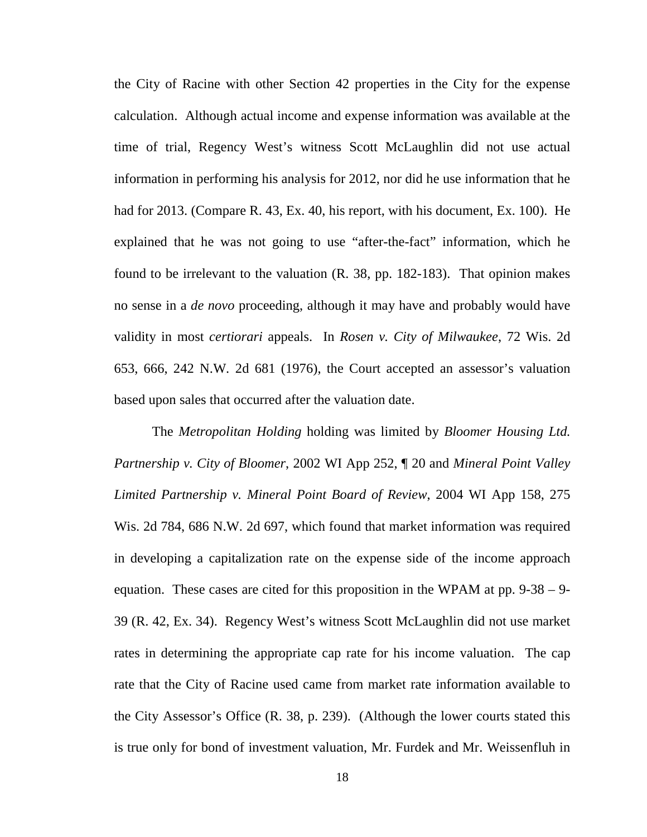the City of Racine with other Section 42 properties in the City for the expense calculation. Although actual income and expense information was available at the time of trial, Regency West's witness Scott McLaughlin did not use actual information in performing his analysis for 2012, nor did he use information that he had for 2013. (Compare R. 43, Ex. 40, his report, with his document, Ex. 100). He explained that he was not going to use "after-the-fact" information, which he found to be irrelevant to the valuation (R. 38, pp. 182-183). That opinion makes no sense in a *de novo* proceeding, although it may have and probably would have validity in most *certiorari* appeals. In *Rosen v. City of Milwaukee*, 72 Wis. 2d 653, 666, 242 N.W. 2d 681 (1976), the Court accepted an assessor's valuation based upon sales that occurred after the valuation date.

The *Metropolitan Holding* holding was limited by *Bloomer Housing Ltd. Partnership v. City of Bloomer*, 2002 WI App 252, ¶ 20 and *Mineral Point Valley Limited Partnership v. Mineral Point Board of Review*, 2004 WI App 158, 275 Wis. 2d 784, 686 N.W. 2d 697, which found that market information was required in developing a capitalization rate on the expense side of the income approach equation. These cases are cited for this proposition in the WPAM at pp. 9-38 – 9- 39 (R. 42, Ex. 34). Regency West's witness Scott McLaughlin did not use market rates in determining the appropriate cap rate for his income valuation. The cap rate that the City of Racine used came from market rate information available to the City Assessor's Office (R. 38, p. 239). (Although the lower courts stated this is true only for bond of investment valuation, Mr. Furdek and Mr. Weissenfluh in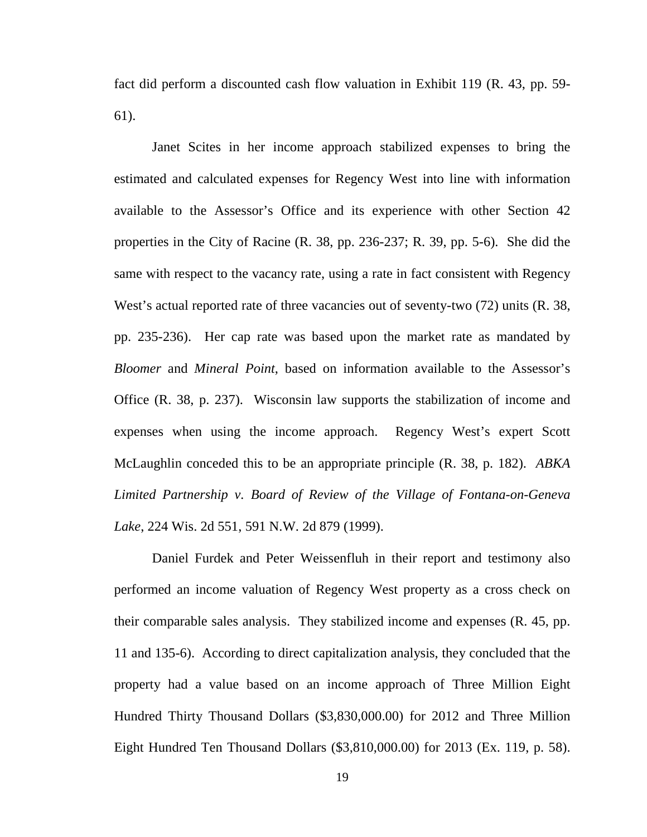fact did perform a discounted cash flow valuation in Exhibit 119 (R. 43, pp. 59- 61).

Janet Scites in her income approach stabilized expenses to bring the estimated and calculated expenses for Regency West into line with information available to the Assessor's Office and its experience with other Section 42 properties in the City of Racine (R. 38, pp. 236-237; R. 39, pp. 5-6). She did the same with respect to the vacancy rate, using a rate in fact consistent with Regency West's actual reported rate of three vacancies out of seventy-two (72) units (R. 38, pp. 235-236). Her cap rate was based upon the market rate as mandated by *Bloomer* and *Mineral Point*, based on information available to the Assessor's Office (R. 38, p. 237). Wisconsin law supports the stabilization of income and expenses when using the income approach. Regency West's expert Scott McLaughlin conceded this to be an appropriate principle (R. 38, p. 182). *ABKA Limited Partnership v. Board of Review of the Village of Fontana-on-Geneva Lake*, 224 Wis. 2d 551, 591 N.W. 2d 879 (1999).

Daniel Furdek and Peter Weissenfluh in their report and testimony also performed an income valuation of Regency West property as a cross check on their comparable sales analysis. They stabilized income and expenses (R. 45, pp. 11 and 135-6). According to direct capitalization analysis, they concluded that the property had a value based on an income approach of Three Million Eight Hundred Thirty Thousand Dollars (\$3,830,000.00) for 2012 and Three Million Eight Hundred Ten Thousand Dollars (\$3,810,000.00) for 2013 (Ex. 119, p. 58).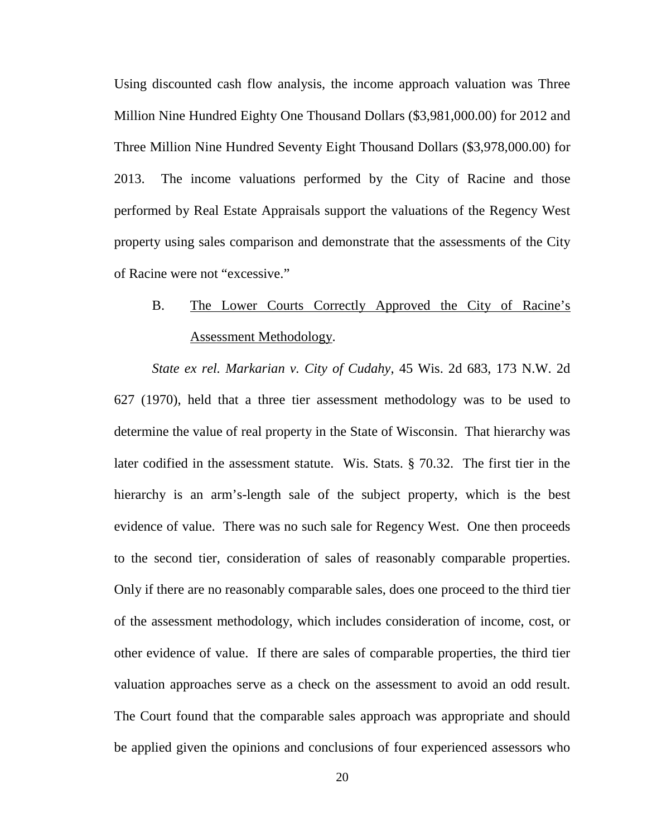Using discounted cash flow analysis, the income approach valuation was Three Million Nine Hundred Eighty One Thousand Dollars (\$3,981,000.00) for 2012 and Three Million Nine Hundred Seventy Eight Thousand Dollars (\$3,978,000.00) for 2013. The income valuations performed by the City of Racine and those performed by Real Estate Appraisals support the valuations of the Regency West property using sales comparison and demonstrate that the assessments of the City of Racine were not "excessive."

## B. The Lower Courts Correctly Approved the City of Racine's Assessment Methodology.

*State ex rel. Markarian v. City of Cudahy*, 45 Wis. 2d 683, 173 N.W. 2d 627 (1970), held that a three tier assessment methodology was to be used to determine the value of real property in the State of Wisconsin. That hierarchy was later codified in the assessment statute. Wis. Stats. § 70.32. The first tier in the hierarchy is an arm's-length sale of the subject property, which is the best evidence of value. There was no such sale for Regency West. One then proceeds to the second tier, consideration of sales of reasonably comparable properties. Only if there are no reasonably comparable sales, does one proceed to the third tier of the assessment methodology, which includes consideration of income, cost, or other evidence of value. If there are sales of comparable properties, the third tier valuation approaches serve as a check on the assessment to avoid an odd result. The Court found that the comparable sales approach was appropriate and should be applied given the opinions and conclusions of four experienced assessors who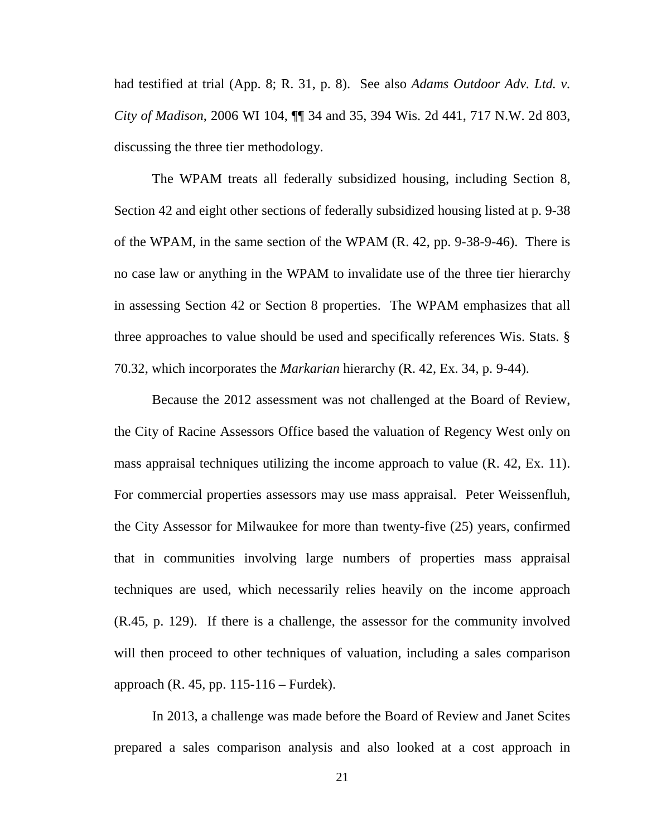had testified at trial (App. 8; R. 31, p. 8). See also *Adams Outdoor Adv. Ltd. v. City of Madison*, 2006 WI 104, ¶¶ 34 and 35, 394 Wis. 2d 441, 717 N.W. 2d 803, discussing the three tier methodology.

The WPAM treats all federally subsidized housing, including Section 8, Section 42 and eight other sections of federally subsidized housing listed at p. 9-38 of the WPAM, in the same section of the WPAM (R. 42, pp. 9-38-9-46). There is no case law or anything in the WPAM to invalidate use of the three tier hierarchy in assessing Section 42 or Section 8 properties. The WPAM emphasizes that all three approaches to value should be used and specifically references Wis. Stats. § 70.32, which incorporates the *Markarian* hierarchy (R. 42, Ex. 34, p. 9-44).

Because the 2012 assessment was not challenged at the Board of Review, the City of Racine Assessors Office based the valuation of Regency West only on mass appraisal techniques utilizing the income approach to value (R. 42, Ex. 11). For commercial properties assessors may use mass appraisal. Peter Weissenfluh, the City Assessor for Milwaukee for more than twenty-five (25) years, confirmed that in communities involving large numbers of properties mass appraisal techniques are used, which necessarily relies heavily on the income approach (R.45, p. 129). If there is a challenge, the assessor for the community involved will then proceed to other techniques of valuation, including a sales comparison approach (R. 45, pp. 115-116 – Furdek).

In 2013, a challenge was made before the Board of Review and Janet Scites prepared a sales comparison analysis and also looked at a cost approach in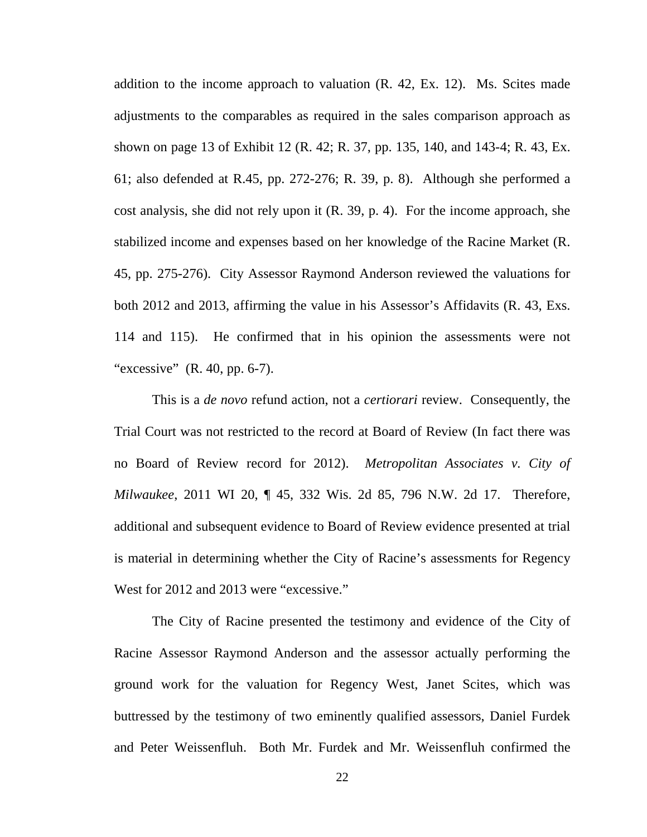addition to the income approach to valuation (R. 42, Ex. 12). Ms. Scites made adjustments to the comparables as required in the sales comparison approach as shown on page 13 of Exhibit 12 (R. 42; R. 37, pp. 135, 140, and 143-4; R. 43, Ex. 61; also defended at R.45, pp. 272-276; R. 39, p. 8). Although she performed a cost analysis, she did not rely upon it (R. 39, p. 4). For the income approach, she stabilized income and expenses based on her knowledge of the Racine Market (R. 45, pp. 275-276). City Assessor Raymond Anderson reviewed the valuations for both 2012 and 2013, affirming the value in his Assessor's Affidavits (R. 43, Exs. 114 and 115). He confirmed that in his opinion the assessments were not "excessive" (R. 40, pp. 6-7).

This is a *de novo* refund action, not a *certiorari* review. Consequently, the Trial Court was not restricted to the record at Board of Review (In fact there was no Board of Review record for 2012). *Metropolitan Associates v. City of Milwaukee*, 2011 WI 20, ¶ 45, 332 Wis. 2d 85, 796 N.W. 2d 17. Therefore, additional and subsequent evidence to Board of Review evidence presented at trial is material in determining whether the City of Racine's assessments for Regency West for 2012 and 2013 were "excessive."

The City of Racine presented the testimony and evidence of the City of Racine Assessor Raymond Anderson and the assessor actually performing the ground work for the valuation for Regency West, Janet Scites, which was buttressed by the testimony of two eminently qualified assessors, Daniel Furdek and Peter Weissenfluh. Both Mr. Furdek and Mr. Weissenfluh confirmed the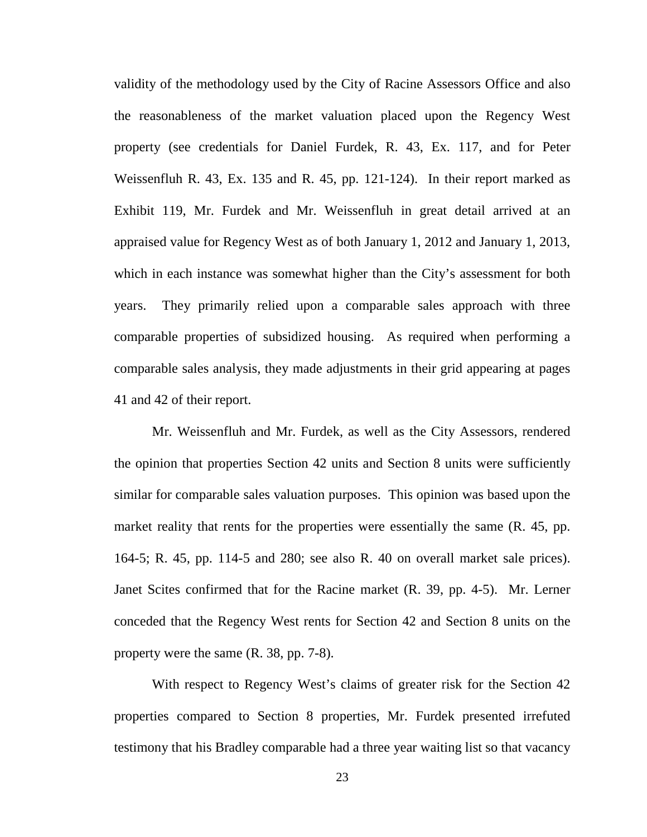validity of the methodology used by the City of Racine Assessors Office and also the reasonableness of the market valuation placed upon the Regency West property (see credentials for Daniel Furdek, R. 43, Ex. 117, and for Peter Weissenfluh R. 43, Ex. 135 and R. 45, pp. 121-124). In their report marked as Exhibit 119, Mr. Furdek and Mr. Weissenfluh in great detail arrived at an appraised value for Regency West as of both January 1, 2012 and January 1, 2013, which in each instance was somewhat higher than the City's assessment for both years. They primarily relied upon a comparable sales approach with three comparable properties of subsidized housing. As required when performing a comparable sales analysis, they made adjustments in their grid appearing at pages 41 and 42 of their report.

Mr. Weissenfluh and Mr. Furdek, as well as the City Assessors, rendered the opinion that properties Section 42 units and Section 8 units were sufficiently similar for comparable sales valuation purposes. This opinion was based upon the market reality that rents for the properties were essentially the same (R. 45, pp. 164-5; R. 45, pp. 114-5 and 280; see also R. 40 on overall market sale prices). Janet Scites confirmed that for the Racine market (R. 39, pp. 4-5). Mr. Lerner conceded that the Regency West rents for Section 42 and Section 8 units on the property were the same (R. 38, pp. 7-8).

With respect to Regency West's claims of greater risk for the Section 42 properties compared to Section 8 properties, Mr. Furdek presented irrefuted testimony that his Bradley comparable had a three year waiting list so that vacancy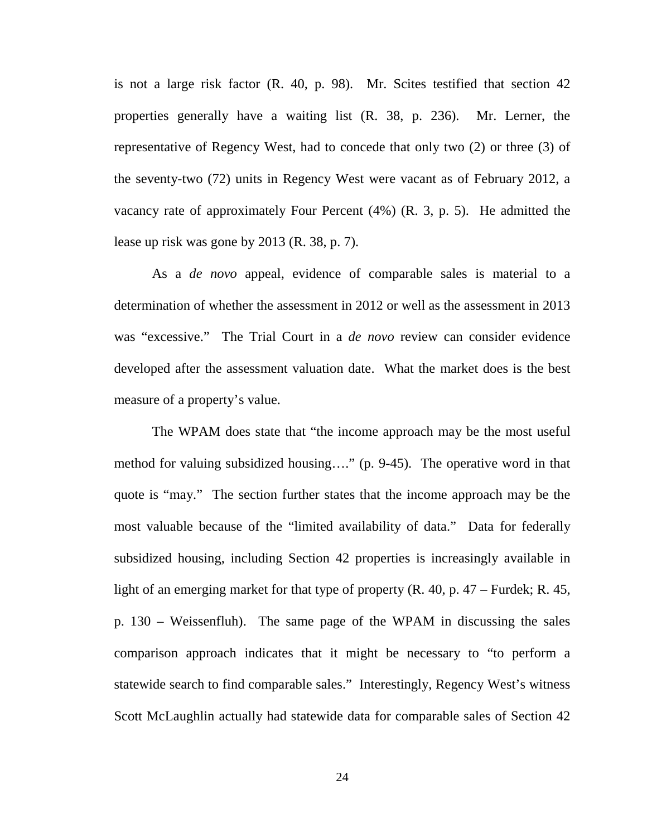is not a large risk factor (R. 40, p. 98). Mr. Scites testified that section 42 properties generally have a waiting list (R. 38, p. 236). Mr. Lerner, the representative of Regency West, had to concede that only two (2) or three (3) of the seventy-two (72) units in Regency West were vacant as of February 2012, a vacancy rate of approximately Four Percent (4%) (R. 3, p. 5). He admitted the lease up risk was gone by 2013 (R. 38, p. 7).

As a *de novo* appeal, evidence of comparable sales is material to a determination of whether the assessment in 2012 or well as the assessment in 2013 was "excessive." The Trial Court in a *de novo* review can consider evidence developed after the assessment valuation date. What the market does is the best measure of a property's value.

The WPAM does state that "the income approach may be the most useful method for valuing subsidized housing…." (p. 9-45). The operative word in that quote is "may." The section further states that the income approach may be the most valuable because of the "limited availability of data." Data for federally subsidized housing, including Section 42 properties is increasingly available in light of an emerging market for that type of property (R. 40, p. 47 – Furdek; R. 45, p. 130 – Weissenfluh). The same page of the WPAM in discussing the sales comparison approach indicates that it might be necessary to "to perform a statewide search to find comparable sales." Interestingly, Regency West's witness Scott McLaughlin actually had statewide data for comparable sales of Section 42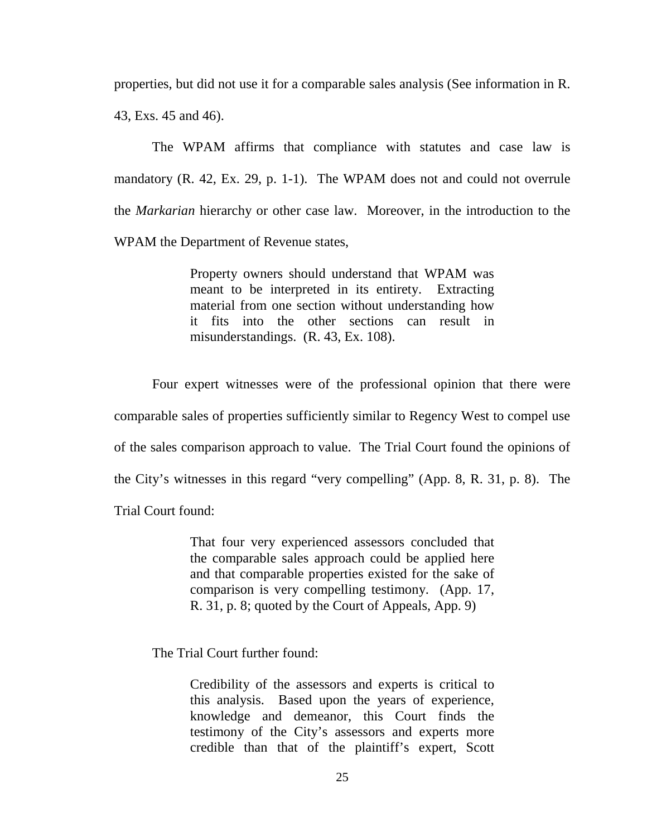properties, but did not use it for a comparable sales analysis (See information in R. 43, Exs. 45 and 46).

The WPAM affirms that compliance with statutes and case law is mandatory (R. 42, Ex. 29, p. 1-1). The WPAM does not and could not overrule the *Markarian* hierarchy or other case law. Moreover, in the introduction to the WPAM the Department of Revenue states,

> Property owners should understand that WPAM was meant to be interpreted in its entirety. Extracting material from one section without understanding how it fits into the other sections can result in misunderstandings. (R. 43, Ex. 108).

Four expert witnesses were of the professional opinion that there were comparable sales of properties sufficiently similar to Regency West to compel use of the sales comparison approach to value. The Trial Court found the opinions of the City's witnesses in this regard "very compelling" (App. 8, R. 31, p. 8). The Trial Court found:

> That four very experienced assessors concluded that the comparable sales approach could be applied here and that comparable properties existed for the sake of comparison is very compelling testimony. (App. 17, R. 31, p. 8; quoted by the Court of Appeals, App. 9)

The Trial Court further found:

Credibility of the assessors and experts is critical to this analysis. Based upon the years of experience, knowledge and demeanor, this Court finds the testimony of the City's assessors and experts more credible than that of the plaintiff's expert, Scott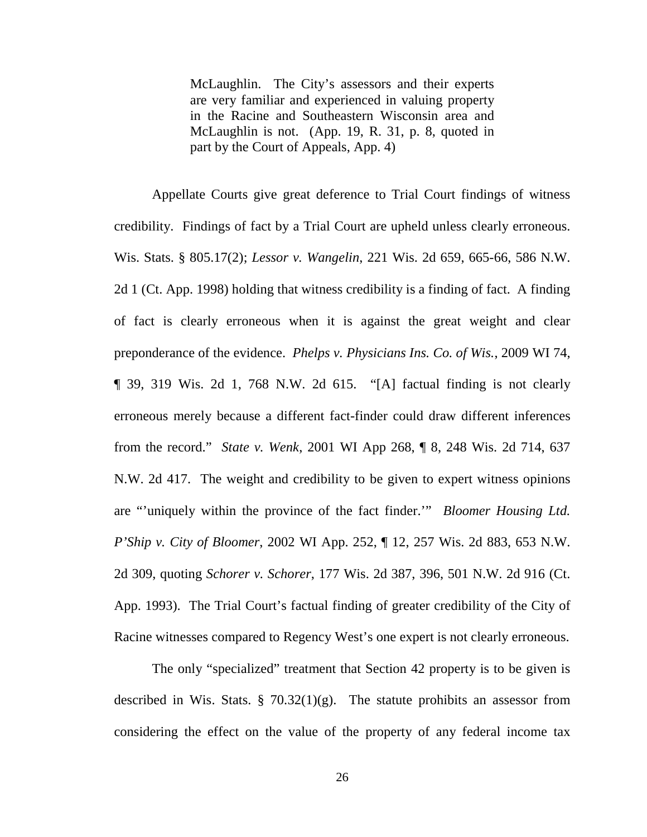McLaughlin. The City's assessors and their experts are very familiar and experienced in valuing property in the Racine and Southeastern Wisconsin area and McLaughlin is not. (App. 19, R. 31, p. 8, quoted in part by the Court of Appeals, App. 4)

Appellate Courts give great deference to Trial Court findings of witness credibility. Findings of fact by a Trial Court are upheld unless clearly erroneous. Wis. Stats. § 805.17(2); *Lessor v. Wangelin*, 221 Wis. 2d 659, 665-66, 586 N.W. 2d 1 (Ct. App. 1998) holding that witness credibility is a finding of fact. A finding of fact is clearly erroneous when it is against the great weight and clear preponderance of the evidence. *Phelps v. Physicians Ins. Co. of Wis.*, 2009 WI 74, ¶ 39, 319 Wis. 2d 1, 768 N.W. 2d 615. "[A] factual finding is not clearly erroneous merely because a different fact-finder could draw different inferences from the record." *State v. Wenk*, 2001 WI App 268, ¶ 8, 248 Wis. 2d 714, 637 N.W. 2d 417. The weight and credibility to be given to expert witness opinions are "'uniquely within the province of the fact finder.'" *Bloomer Housing Ltd. P'Ship v. City of Bloomer*, 2002 WI App. 252, ¶ 12, 257 Wis. 2d 883, 653 N.W. 2d 309, quoting *Schorer v. Schorer*, 177 Wis. 2d 387, 396, 501 N.W. 2d 916 (Ct. App. 1993). The Trial Court's factual finding of greater credibility of the City of Racine witnesses compared to Regency West's one expert is not clearly erroneous.

The only "specialized" treatment that Section 42 property is to be given is described in Wis. Stats.  $\S$  70.32(1)(g). The statute prohibits an assessor from considering the effect on the value of the property of any federal income tax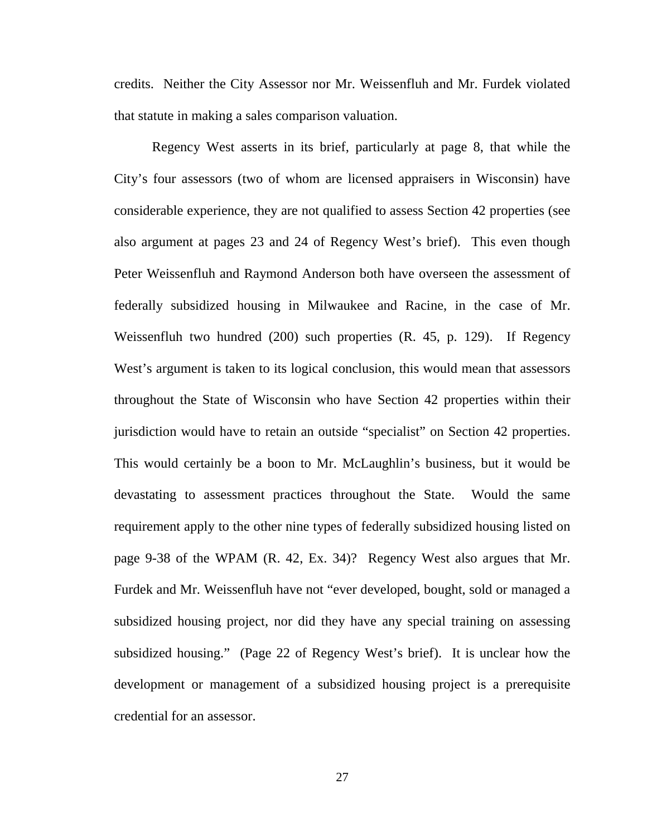credits. Neither the City Assessor nor Mr. Weissenfluh and Mr. Furdek violated that statute in making a sales comparison valuation.

Regency West asserts in its brief, particularly at page 8, that while the City's four assessors (two of whom are licensed appraisers in Wisconsin) have considerable experience, they are not qualified to assess Section 42 properties (see also argument at pages 23 and 24 of Regency West's brief). This even though Peter Weissenfluh and Raymond Anderson both have overseen the assessment of federally subsidized housing in Milwaukee and Racine, in the case of Mr. Weissenfluh two hundred (200) such properties (R. 45, p. 129). If Regency West's argument is taken to its logical conclusion, this would mean that assessors throughout the State of Wisconsin who have Section 42 properties within their jurisdiction would have to retain an outside "specialist" on Section 42 properties. This would certainly be a boon to Mr. McLaughlin's business, but it would be devastating to assessment practices throughout the State. Would the same requirement apply to the other nine types of federally subsidized housing listed on page 9-38 of the WPAM (R. 42, Ex. 34)? Regency West also argues that Mr. Furdek and Mr. Weissenfluh have not "ever developed, bought, sold or managed a subsidized housing project, nor did they have any special training on assessing subsidized housing." (Page 22 of Regency West's brief). It is unclear how the development or management of a subsidized housing project is a prerequisite credential for an assessor.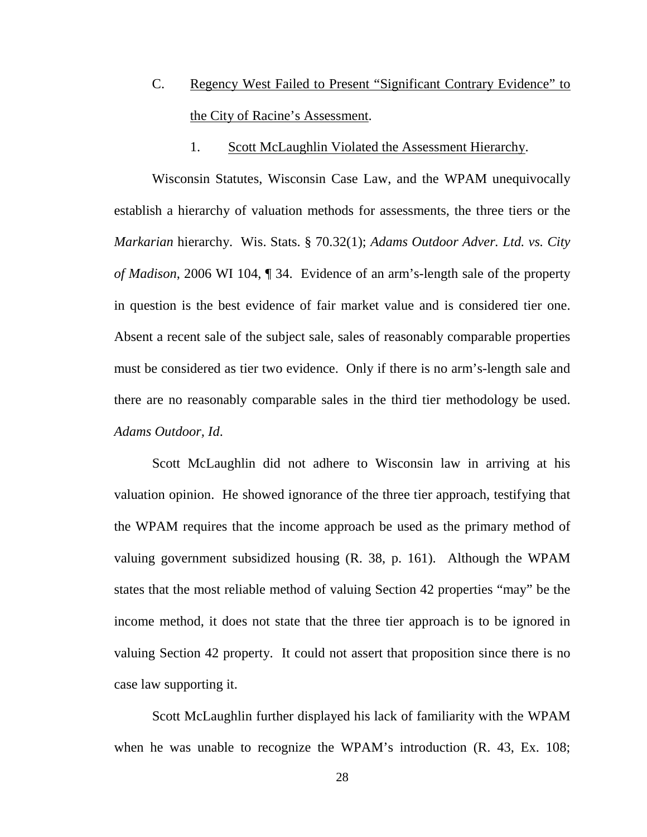- C. Regency West Failed to Present "Significant Contrary Evidence" to the City of Racine's Assessment.
	- 1. Scott McLaughlin Violated the Assessment Hierarchy.

Wisconsin Statutes, Wisconsin Case Law, and the WPAM unequivocally establish a hierarchy of valuation methods for assessments, the three tiers or the *Markarian* hierarchy. Wis. Stats. § 70.32(1); *Adams Outdoor Adver. Ltd. vs. City of Madison*, 2006 WI 104, ¶ 34. Evidence of an arm's-length sale of the property in question is the best evidence of fair market value and is considered tier one. Absent a recent sale of the subject sale, sales of reasonably comparable properties must be considered as tier two evidence. Only if there is no arm's-length sale and there are no reasonably comparable sales in the third tier methodology be used. *Adams Outdoor, Id*.

Scott McLaughlin did not adhere to Wisconsin law in arriving at his valuation opinion. He showed ignorance of the three tier approach, testifying that the WPAM requires that the income approach be used as the primary method of valuing government subsidized housing (R. 38, p. 161). Although the WPAM states that the most reliable method of valuing Section 42 properties "may" be the income method, it does not state that the three tier approach is to be ignored in valuing Section 42 property. It could not assert that proposition since there is no case law supporting it.

Scott McLaughlin further displayed his lack of familiarity with the WPAM when he was unable to recognize the WPAM's introduction (R. 43, Ex. 108;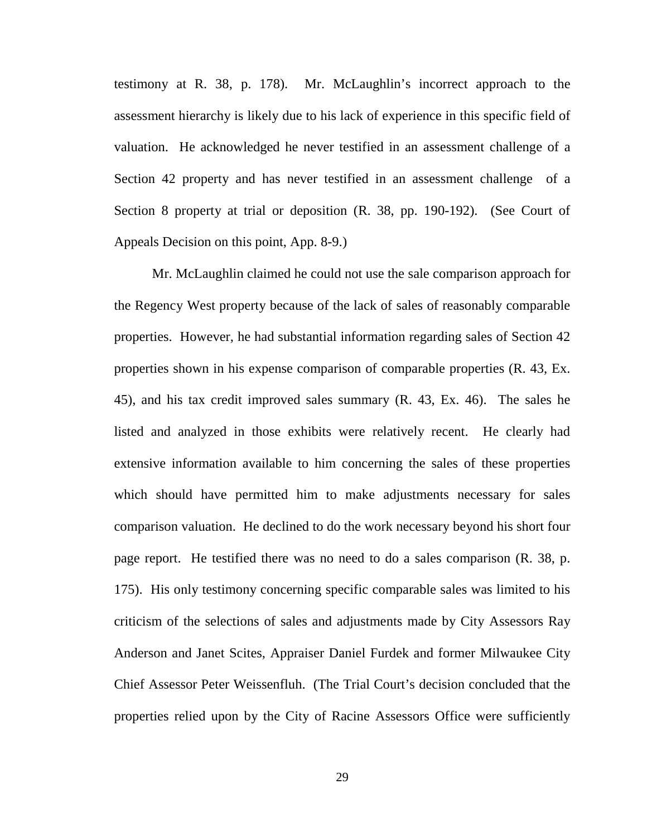testimony at R. 38, p. 178). Mr. McLaughlin's incorrect approach to the assessment hierarchy is likely due to his lack of experience in this specific field of valuation. He acknowledged he never testified in an assessment challenge of a Section 42 property and has never testified in an assessment challenge of a Section 8 property at trial or deposition (R. 38, pp. 190-192). (See Court of Appeals Decision on this point, App. 8-9.)

Mr. McLaughlin claimed he could not use the sale comparison approach for the Regency West property because of the lack of sales of reasonably comparable properties. However, he had substantial information regarding sales of Section 42 properties shown in his expense comparison of comparable properties (R. 43, Ex. 45), and his tax credit improved sales summary (R. 43, Ex. 46). The sales he listed and analyzed in those exhibits were relatively recent. He clearly had extensive information available to him concerning the sales of these properties which should have permitted him to make adjustments necessary for sales comparison valuation. He declined to do the work necessary beyond his short four page report. He testified there was no need to do a sales comparison (R. 38, p. 175). His only testimony concerning specific comparable sales was limited to his criticism of the selections of sales and adjustments made by City Assessors Ray Anderson and Janet Scites, Appraiser Daniel Furdek and former Milwaukee City Chief Assessor Peter Weissenfluh. (The Trial Court's decision concluded that the properties relied upon by the City of Racine Assessors Office were sufficiently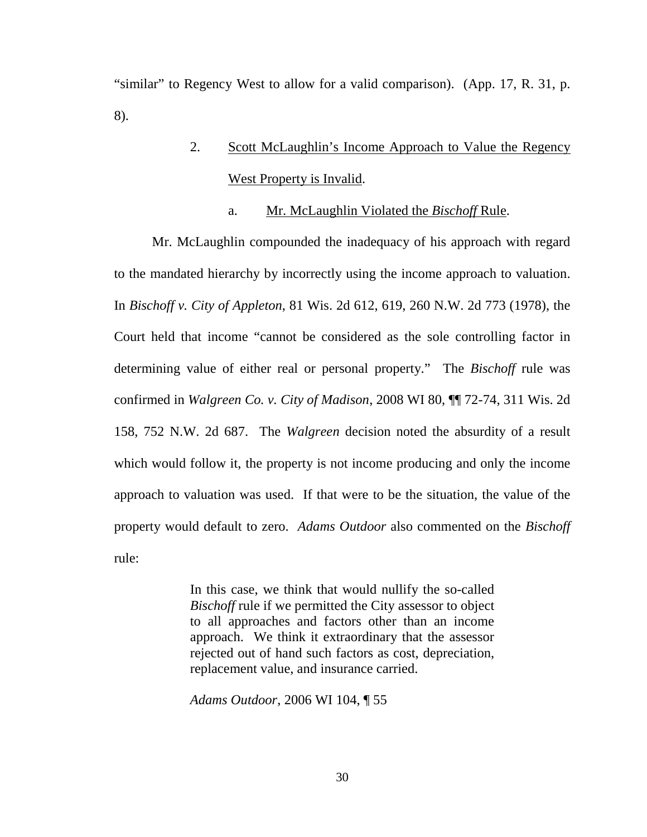"similar" to Regency West to allow for a valid comparison). (App. 17, R. 31, p. 8).

# 2. Scott McLaughlin's Income Approach to Value the Regency West Property is Invalid.

#### a. Mr. McLaughlin Violated the *Bischoff* Rule.

Mr. McLaughlin compounded the inadequacy of his approach with regard to the mandated hierarchy by incorrectly using the income approach to valuation. In *Bischoff v. City of Appleton*, 81 Wis. 2d 612, 619, 260 N.W. 2d 773 (1978), the Court held that income "cannot be considered as the sole controlling factor in determining value of either real or personal property." The *Bischoff* rule was confirmed in *Walgreen Co. v. City of Madison*, 2008 WI 80, ¶¶ 72-74, 311 Wis. 2d 158, 752 N.W. 2d 687. The *Walgreen* decision noted the absurdity of a result which would follow it, the property is not income producing and only the income approach to valuation was used. If that were to be the situation, the value of the property would default to zero. *Adams Outdoor* also commented on the *Bischoff* rule:

> In this case, we think that would nullify the so-called *Bischoff* rule if we permitted the City assessor to object to all approaches and factors other than an income approach. We think it extraordinary that the assessor rejected out of hand such factors as cost, depreciation, replacement value, and insurance carried.

*Adams Outdoor*, 2006 WI 104, ¶ 55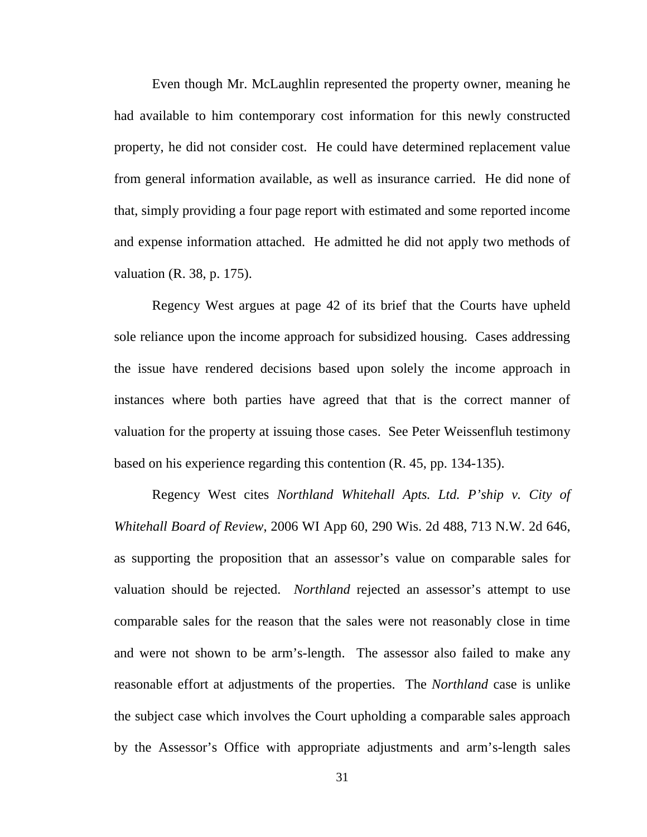Even though Mr. McLaughlin represented the property owner, meaning he had available to him contemporary cost information for this newly constructed property, he did not consider cost. He could have determined replacement value from general information available, as well as insurance carried. He did none of that, simply providing a four page report with estimated and some reported income and expense information attached. He admitted he did not apply two methods of valuation (R. 38, p. 175).

Regency West argues at page 42 of its brief that the Courts have upheld sole reliance upon the income approach for subsidized housing. Cases addressing the issue have rendered decisions based upon solely the income approach in instances where both parties have agreed that that is the correct manner of valuation for the property at issuing those cases. See Peter Weissenfluh testimony based on his experience regarding this contention (R. 45, pp. 134-135).

Regency West cites *Northland Whitehall Apts. Ltd. P'ship v. City of Whitehall Board of Review*, 2006 WI App 60, 290 Wis. 2d 488, 713 N.W. 2d 646, as supporting the proposition that an assessor's value on comparable sales for valuation should be rejected. *Northland* rejected an assessor's attempt to use comparable sales for the reason that the sales were not reasonably close in time and were not shown to be arm's-length. The assessor also failed to make any reasonable effort at adjustments of the properties. The *Northland* case is unlike the subject case which involves the Court upholding a comparable sales approach by the Assessor's Office with appropriate adjustments and arm's-length sales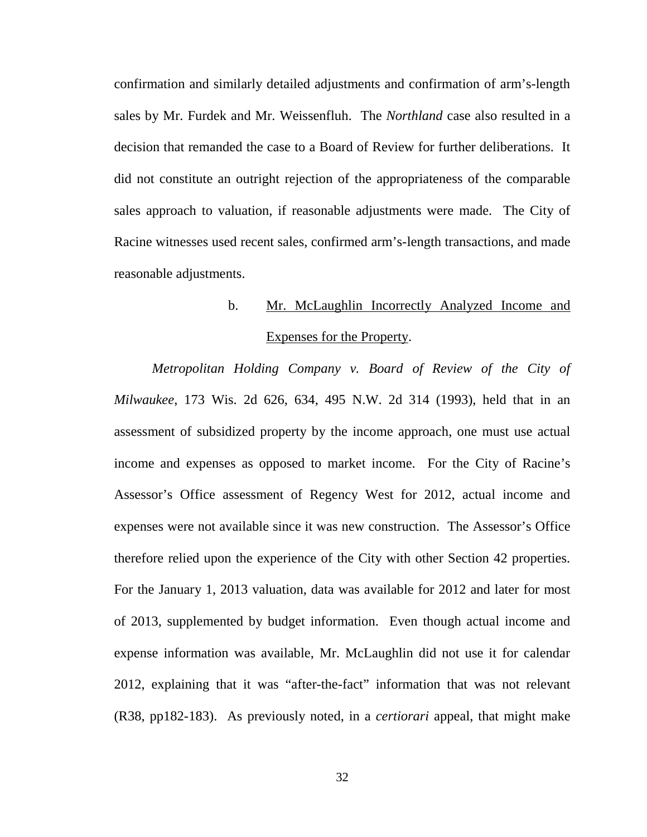confirmation and similarly detailed adjustments and confirmation of arm's-length sales by Mr. Furdek and Mr. Weissenfluh. The *Northland* case also resulted in a decision that remanded the case to a Board of Review for further deliberations. It did not constitute an outright rejection of the appropriateness of the comparable sales approach to valuation, if reasonable adjustments were made. The City of Racine witnesses used recent sales, confirmed arm's-length transactions, and made reasonable adjustments.

## b. Mr. McLaughlin Incorrectly Analyzed Income and Expenses for the Property.

*Metropolitan Holding Company v. Board of Review of the City of Milwaukee*, 173 Wis. 2d 626, 634, 495 N.W. 2d 314 (1993), held that in an assessment of subsidized property by the income approach, one must use actual income and expenses as opposed to market income. For the City of Racine's Assessor's Office assessment of Regency West for 2012, actual income and expenses were not available since it was new construction. The Assessor's Office therefore relied upon the experience of the City with other Section 42 properties. For the January 1, 2013 valuation, data was available for 2012 and later for most of 2013, supplemented by budget information. Even though actual income and expense information was available, Mr. McLaughlin did not use it for calendar 2012, explaining that it was "after-the-fact" information that was not relevant (R38, pp182-183). As previously noted, in a *certiorari* appeal, that might make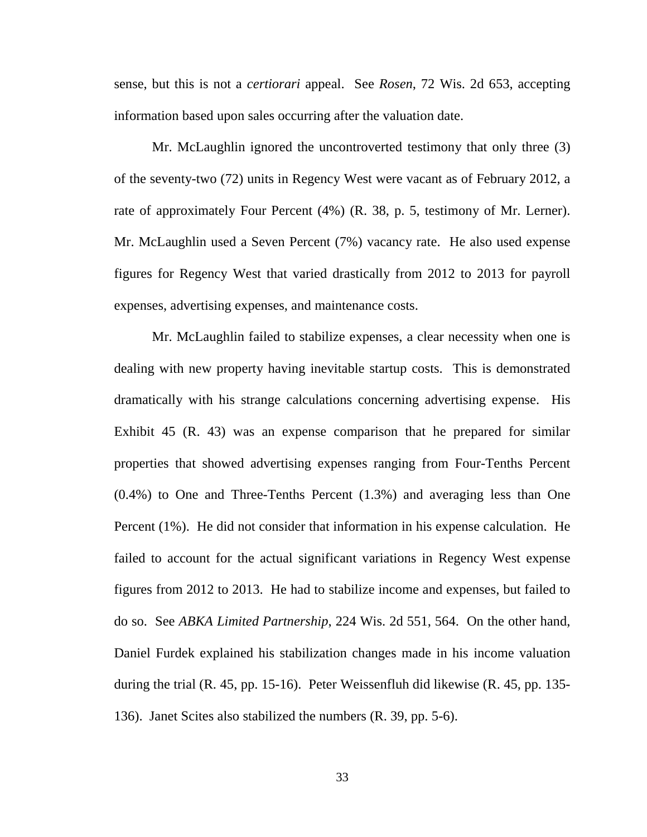sense, but this is not a *certiorari* appeal. See *Rosen*, 72 Wis. 2d 653, accepting information based upon sales occurring after the valuation date.

Mr. McLaughlin ignored the uncontroverted testimony that only three (3) of the seventy-two (72) units in Regency West were vacant as of February 2012, a rate of approximately Four Percent (4%) (R. 38, p. 5, testimony of Mr. Lerner). Mr. McLaughlin used a Seven Percent (7%) vacancy rate. He also used expense figures for Regency West that varied drastically from 2012 to 2013 for payroll expenses, advertising expenses, and maintenance costs.

Mr. McLaughlin failed to stabilize expenses, a clear necessity when one is dealing with new property having inevitable startup costs. This is demonstrated dramatically with his strange calculations concerning advertising expense. His Exhibit 45 (R. 43) was an expense comparison that he prepared for similar properties that showed advertising expenses ranging from Four-Tenths Percent (0.4%) to One and Three-Tenths Percent (1.3%) and averaging less than One Percent (1%). He did not consider that information in his expense calculation. He failed to account for the actual significant variations in Regency West expense figures from 2012 to 2013. He had to stabilize income and expenses, but failed to do so. See *ABKA Limited Partnership*, 224 Wis. 2d 551, 564. On the other hand, Daniel Furdek explained his stabilization changes made in his income valuation during the trial (R. 45, pp. 15-16). Peter Weissenfluh did likewise (R. 45, pp. 135- 136). Janet Scites also stabilized the numbers (R. 39, pp. 5-6).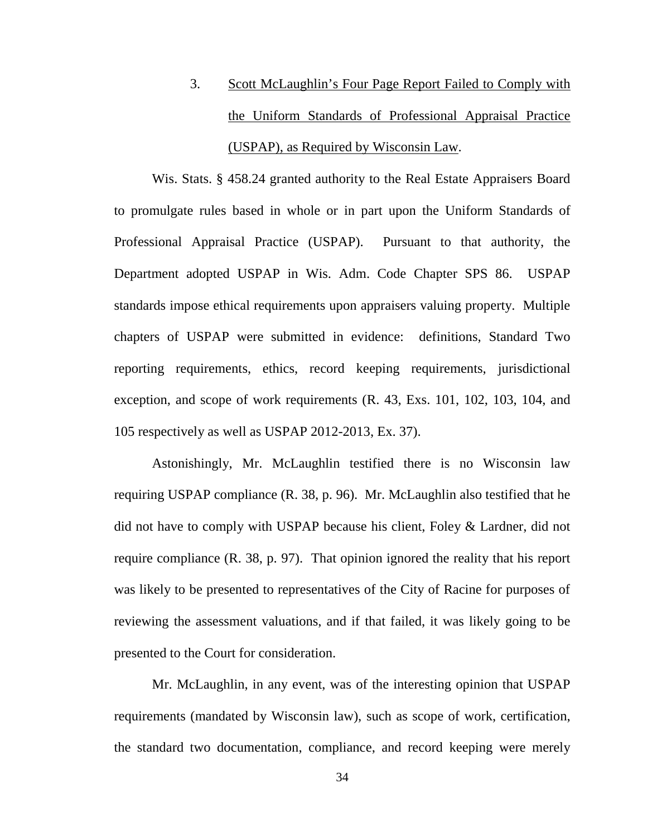3. Scott McLaughlin's Four Page Report Failed to Comply with the Uniform Standards of Professional Appraisal Practice (USPAP), as Required by Wisconsin Law.

Wis. Stats. § 458.24 granted authority to the Real Estate Appraisers Board to promulgate rules based in whole or in part upon the Uniform Standards of Professional Appraisal Practice (USPAP). Pursuant to that authority, the Department adopted USPAP in Wis. Adm. Code Chapter SPS 86. USPAP standards impose ethical requirements upon appraisers valuing property. Multiple chapters of USPAP were submitted in evidence: definitions, Standard Two reporting requirements, ethics, record keeping requirements, jurisdictional exception, and scope of work requirements (R. 43, Exs. 101, 102, 103, 104, and 105 respectively as well as USPAP 2012-2013, Ex. 37).

Astonishingly, Mr. McLaughlin testified there is no Wisconsin law requiring USPAP compliance (R. 38, p. 96). Mr. McLaughlin also testified that he did not have to comply with USPAP because his client, Foley & Lardner, did not require compliance (R. 38, p. 97). That opinion ignored the reality that his report was likely to be presented to representatives of the City of Racine for purposes of reviewing the assessment valuations, and if that failed, it was likely going to be presented to the Court for consideration.

Mr. McLaughlin, in any event, was of the interesting opinion that USPAP requirements (mandated by Wisconsin law), such as scope of work, certification, the standard two documentation, compliance, and record keeping were merely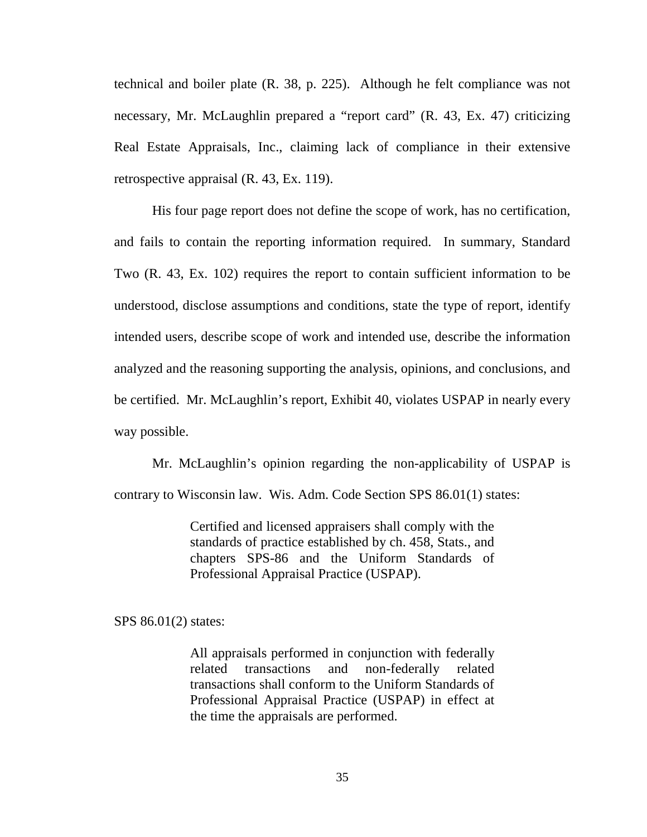technical and boiler plate (R. 38, p. 225). Although he felt compliance was not necessary, Mr. McLaughlin prepared a "report card" (R. 43, Ex. 47) criticizing Real Estate Appraisals, Inc., claiming lack of compliance in their extensive retrospective appraisal (R. 43, Ex. 119).

His four page report does not define the scope of work, has no certification, and fails to contain the reporting information required. In summary, Standard Two (R. 43, Ex. 102) requires the report to contain sufficient information to be understood, disclose assumptions and conditions, state the type of report, identify intended users, describe scope of work and intended use, describe the information analyzed and the reasoning supporting the analysis, opinions, and conclusions, and be certified. Mr. McLaughlin's report, Exhibit 40, violates USPAP in nearly every way possible.

Mr. McLaughlin's opinion regarding the non-applicability of USPAP is contrary to Wisconsin law. Wis. Adm. Code Section SPS 86.01(1) states:

> Certified and licensed appraisers shall comply with the standards of practice established by ch. 458, Stats., and chapters SPS-86 and the Uniform Standards of Professional Appraisal Practice (USPAP).

SPS 86.01(2) states:

All appraisals performed in conjunction with federally related transactions and non-federally related transactions shall conform to the Uniform Standards of Professional Appraisal Practice (USPAP) in effect at the time the appraisals are performed.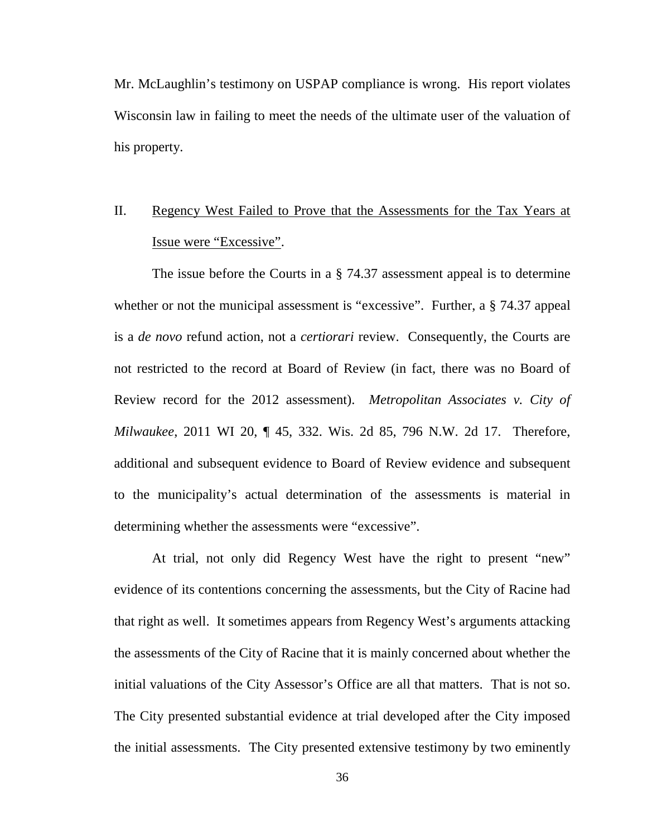Mr. McLaughlin's testimony on USPAP compliance is wrong. His report violates Wisconsin law in failing to meet the needs of the ultimate user of the valuation of his property.

# II. Regency West Failed to Prove that the Assessments for the Tax Years at Issue were "Excessive".

The issue before the Courts in a § 74.37 assessment appeal is to determine whether or not the municipal assessment is "excessive". Further, a  $\S$  74.37 appeal is a *de novo* refund action, not a *certiorari* review. Consequently, the Courts are not restricted to the record at Board of Review (in fact, there was no Board of Review record for the 2012 assessment). *Metropolitan Associates v. City of Milwaukee*, 2011 WI 20, ¶ 45, 332. Wis. 2d 85, 796 N.W. 2d 17. Therefore, additional and subsequent evidence to Board of Review evidence and subsequent to the municipality's actual determination of the assessments is material in determining whether the assessments were "excessive".

At trial, not only did Regency West have the right to present "new" evidence of its contentions concerning the assessments, but the City of Racine had that right as well. It sometimes appears from Regency West's arguments attacking the assessments of the City of Racine that it is mainly concerned about whether the initial valuations of the City Assessor's Office are all that matters. That is not so. The City presented substantial evidence at trial developed after the City imposed the initial assessments. The City presented extensive testimony by two eminently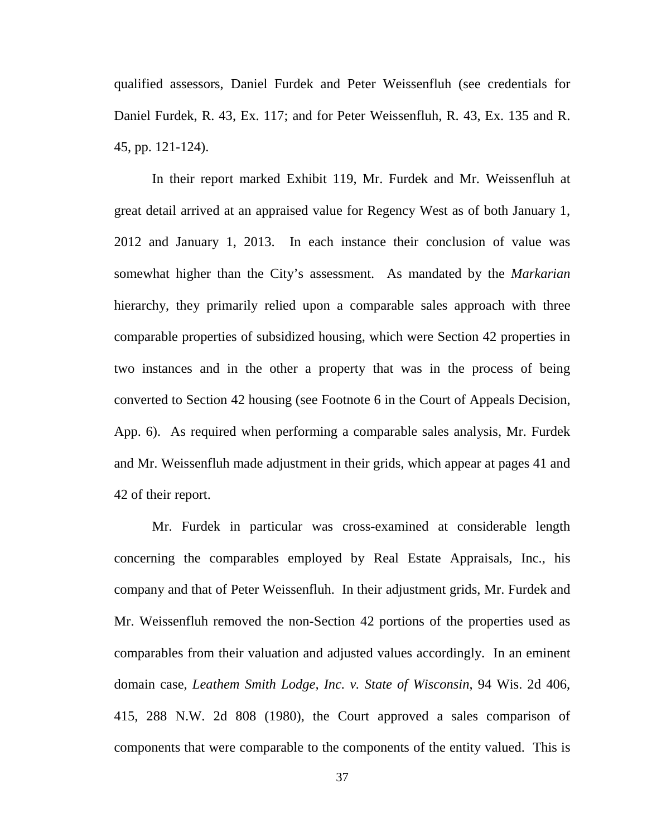qualified assessors, Daniel Furdek and Peter Weissenfluh (see credentials for Daniel Furdek, R. 43, Ex. 117; and for Peter Weissenfluh, R. 43, Ex. 135 and R. 45, pp. 121-124).

In their report marked Exhibit 119, Mr. Furdek and Mr. Weissenfluh at great detail arrived at an appraised value for Regency West as of both January 1, 2012 and January 1, 2013. In each instance their conclusion of value was somewhat higher than the City's assessment. As mandated by the *Markarian* hierarchy, they primarily relied upon a comparable sales approach with three comparable properties of subsidized housing, which were Section 42 properties in two instances and in the other a property that was in the process of being converted to Section 42 housing (see Footnote 6 in the Court of Appeals Decision, App. 6). As required when performing a comparable sales analysis, Mr. Furdek and Mr. Weissenfluh made adjustment in their grids, which appear at pages 41 and 42 of their report.

Mr. Furdek in particular was cross-examined at considerable length concerning the comparables employed by Real Estate Appraisals, Inc., his company and that of Peter Weissenfluh. In their adjustment grids, Mr. Furdek and Mr. Weissenfluh removed the non-Section 42 portions of the properties used as comparables from their valuation and adjusted values accordingly. In an eminent domain case, *Leathem Smith Lodge, Inc. v. State of Wisconsin*, 94 Wis. 2d 406, 415, 288 N.W. 2d 808 (1980), the Court approved a sales comparison of components that were comparable to the components of the entity valued. This is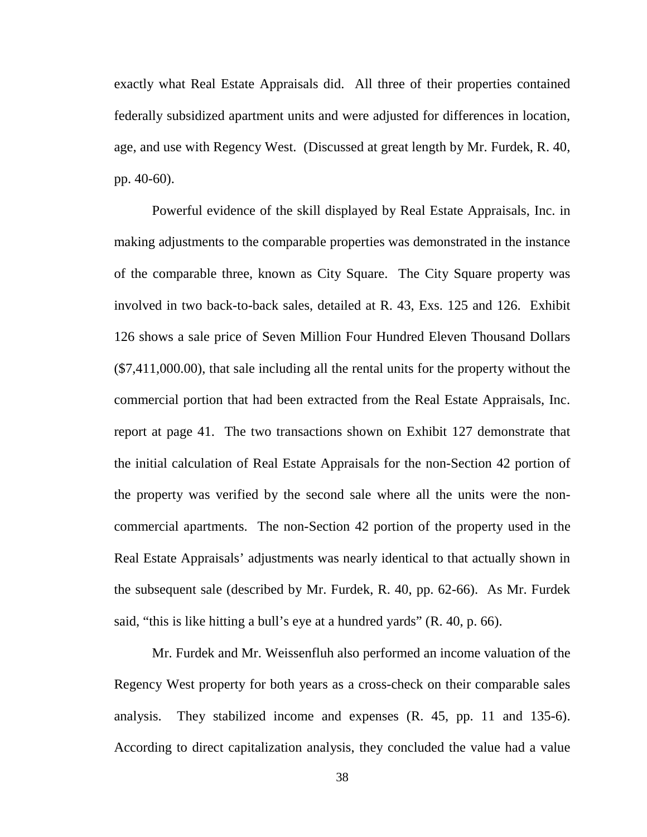exactly what Real Estate Appraisals did. All three of their properties contained federally subsidized apartment units and were adjusted for differences in location, age, and use with Regency West. (Discussed at great length by Mr. Furdek, R. 40, pp. 40-60).

Powerful evidence of the skill displayed by Real Estate Appraisals, Inc. in making adjustments to the comparable properties was demonstrated in the instance of the comparable three, known as City Square. The City Square property was involved in two back-to-back sales, detailed at R. 43, Exs. 125 and 126. Exhibit 126 shows a sale price of Seven Million Four Hundred Eleven Thousand Dollars (\$7,411,000.00), that sale including all the rental units for the property without the commercial portion that had been extracted from the Real Estate Appraisals, Inc. report at page 41. The two transactions shown on Exhibit 127 demonstrate that the initial calculation of Real Estate Appraisals for the non-Section 42 portion of the property was verified by the second sale where all the units were the noncommercial apartments. The non-Section 42 portion of the property used in the Real Estate Appraisals' adjustments was nearly identical to that actually shown in the subsequent sale (described by Mr. Furdek, R. 40, pp. 62-66). As Mr. Furdek said, "this is like hitting a bull's eye at a hundred yards" (R. 40, p. 66).

Mr. Furdek and Mr. Weissenfluh also performed an income valuation of the Regency West property for both years as a cross-check on their comparable sales analysis. They stabilized income and expenses (R. 45, pp. 11 and 135-6). According to direct capitalization analysis, they concluded the value had a value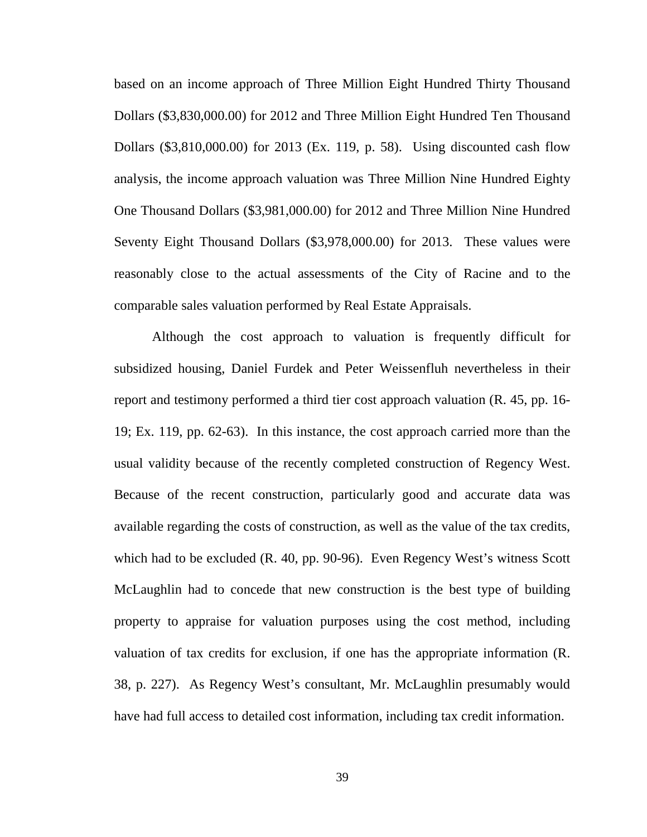based on an income approach of Three Million Eight Hundred Thirty Thousand Dollars (\$3,830,000.00) for 2012 and Three Million Eight Hundred Ten Thousand Dollars (\$3,810,000.00) for 2013 (Ex. 119, p. 58). Using discounted cash flow analysis, the income approach valuation was Three Million Nine Hundred Eighty One Thousand Dollars (\$3,981,000.00) for 2012 and Three Million Nine Hundred Seventy Eight Thousand Dollars (\$3,978,000.00) for 2013. These values were reasonably close to the actual assessments of the City of Racine and to the comparable sales valuation performed by Real Estate Appraisals.

Although the cost approach to valuation is frequently difficult for subsidized housing, Daniel Furdek and Peter Weissenfluh nevertheless in their report and testimony performed a third tier cost approach valuation (R. 45, pp. 16- 19; Ex. 119, pp. 62-63). In this instance, the cost approach carried more than the usual validity because of the recently completed construction of Regency West. Because of the recent construction, particularly good and accurate data was available regarding the costs of construction, as well as the value of the tax credits, which had to be excluded (R. 40, pp. 90-96). Even Regency West's witness Scott McLaughlin had to concede that new construction is the best type of building property to appraise for valuation purposes using the cost method, including valuation of tax credits for exclusion, if one has the appropriate information (R. 38, p. 227). As Regency West's consultant, Mr. McLaughlin presumably would have had full access to detailed cost information, including tax credit information.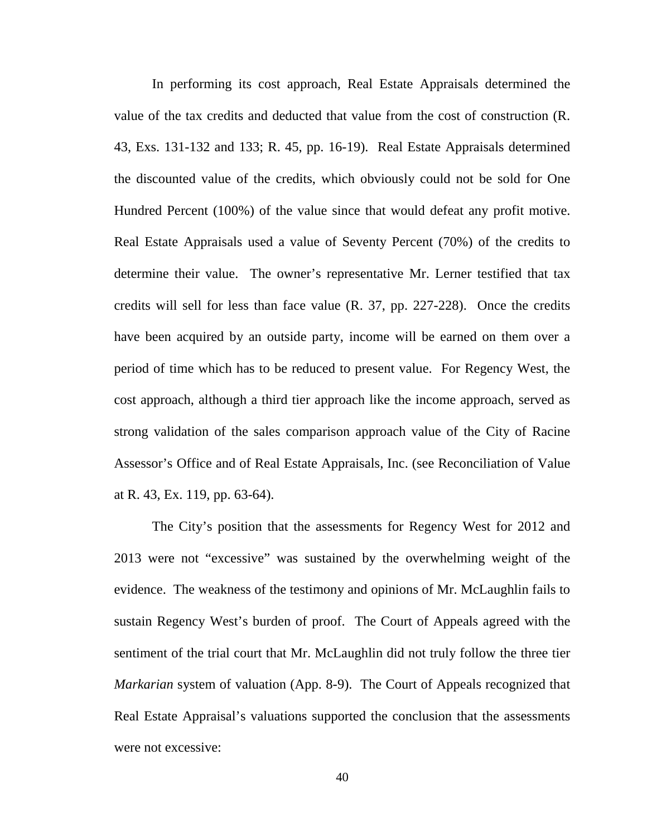In performing its cost approach, Real Estate Appraisals determined the value of the tax credits and deducted that value from the cost of construction (R. 43, Exs. 131-132 and 133; R. 45, pp. 16-19). Real Estate Appraisals determined the discounted value of the credits, which obviously could not be sold for One Hundred Percent (100%) of the value since that would defeat any profit motive. Real Estate Appraisals used a value of Seventy Percent (70%) of the credits to determine their value. The owner's representative Mr. Lerner testified that tax credits will sell for less than face value (R. 37, pp. 227-228). Once the credits have been acquired by an outside party, income will be earned on them over a period of time which has to be reduced to present value. For Regency West, the cost approach, although a third tier approach like the income approach, served as strong validation of the sales comparison approach value of the City of Racine Assessor's Office and of Real Estate Appraisals, Inc. (see Reconciliation of Value at R. 43, Ex. 119, pp. 63-64).

The City's position that the assessments for Regency West for 2012 and 2013 were not "excessive" was sustained by the overwhelming weight of the evidence. The weakness of the testimony and opinions of Mr. McLaughlin fails to sustain Regency West's burden of proof. The Court of Appeals agreed with the sentiment of the trial court that Mr. McLaughlin did not truly follow the three tier *Markarian* system of valuation (App. 8-9). The Court of Appeals recognized that Real Estate Appraisal's valuations supported the conclusion that the assessments were not excessive: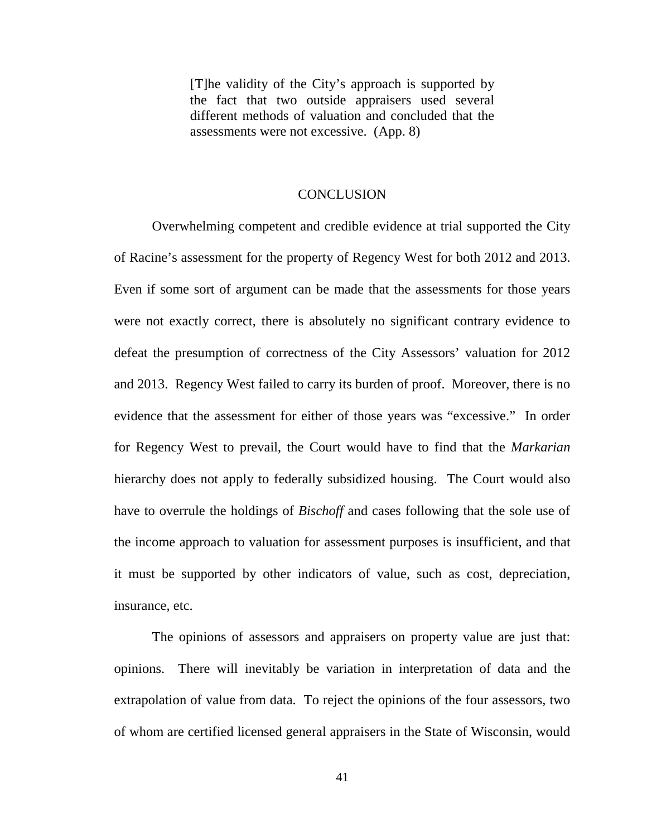[T]he validity of the City's approach is supported by the fact that two outside appraisers used several different methods of valuation and concluded that the assessments were not excessive. (App. 8)

#### **CONCLUSION**

Overwhelming competent and credible evidence at trial supported the City of Racine's assessment for the property of Regency West for both 2012 and 2013. Even if some sort of argument can be made that the assessments for those years were not exactly correct, there is absolutely no significant contrary evidence to defeat the presumption of correctness of the City Assessors' valuation for 2012 and 2013. Regency West failed to carry its burden of proof. Moreover, there is no evidence that the assessment for either of those years was "excessive." In order for Regency West to prevail, the Court would have to find that the *Markarian* hierarchy does not apply to federally subsidized housing. The Court would also have to overrule the holdings of *Bischoff* and cases following that the sole use of the income approach to valuation for assessment purposes is insufficient, and that it must be supported by other indicators of value, such as cost, depreciation, insurance, etc.

The opinions of assessors and appraisers on property value are just that: opinions. There will inevitably be variation in interpretation of data and the extrapolation of value from data. To reject the opinions of the four assessors, two of whom are certified licensed general appraisers in the State of Wisconsin, would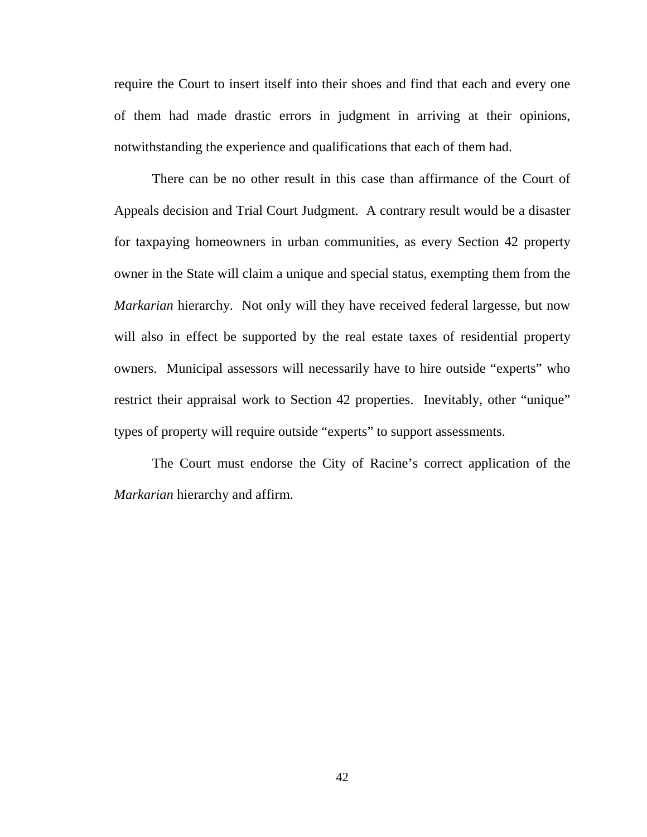require the Court to insert itself into their shoes and find that each and every one of them had made drastic errors in judgment in arriving at their opinions, notwithstanding the experience and qualifications that each of them had.

There can be no other result in this case than affirmance of the Court of Appeals decision and Trial Court Judgment. A contrary result would be a disaster for taxpaying homeowners in urban communities, as every Section 42 property owner in the State will claim a unique and special status, exempting them from the *Markarian* hierarchy. Not only will they have received federal largesse, but now will also in effect be supported by the real estate taxes of residential property owners. Municipal assessors will necessarily have to hire outside "experts" who restrict their appraisal work to Section 42 properties. Inevitably, other "unique" types of property will require outside "experts" to support assessments.

The Court must endorse the City of Racine's correct application of the *Markarian* hierarchy and affirm.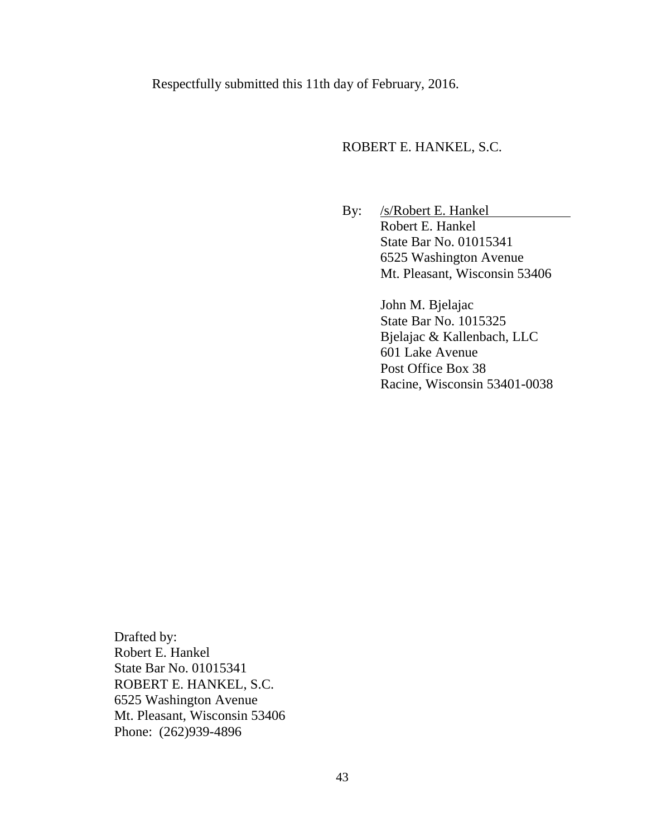Respectfully submitted this 11th day of February, 2016.

#### ROBERT E. HANKEL, S.C.

By: /s/Robert E. Hankel Robert E. Hankel State Bar No. 01015341 6525 Washington Avenue Mt. Pleasant, Wisconsin 53406

> John M. Bjelajac State Bar No. 1015325 Bjelajac & Kallenbach, LLC 601 Lake Avenue Post Office Box 38 Racine, Wisconsin 53401-0038

Drafted by: Robert E. Hankel State Bar No. 01015341 ROBERT E. HANKEL, S.C. 6525 Washington Avenue Mt. Pleasant, Wisconsin 53406 Phone: (262)939-4896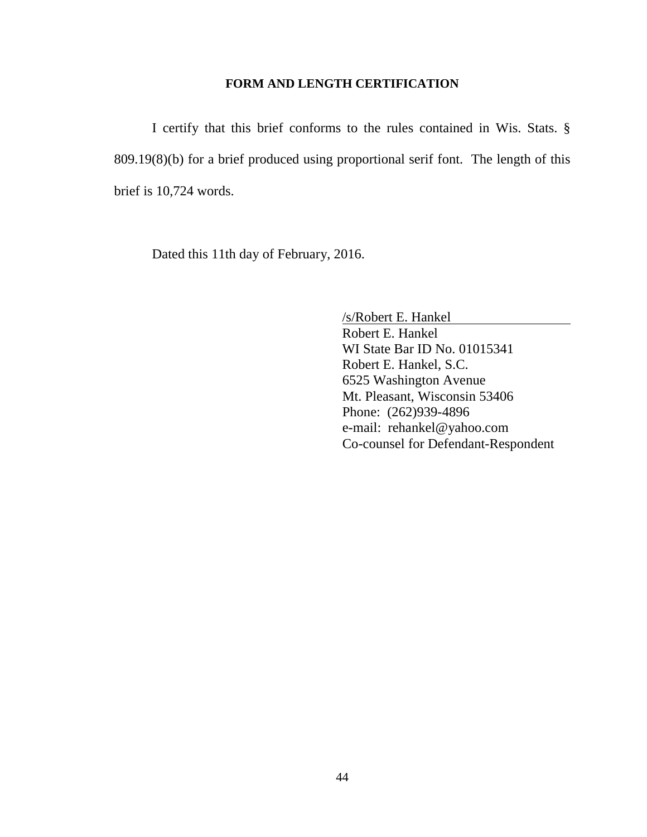#### **FORM AND LENGTH CERTIFICATION**

I certify that this brief conforms to the rules contained in Wis. Stats. § 809.19(8)(b) for a brief produced using proportional serif font. The length of this brief is 10,724 words.

Dated this 11th day of February, 2016.

/s/Robert E. Hankel Robert E. Hankel WI State Bar ID No. 01015341 Robert E. Hankel, S.C. 6525 Washington Avenue Mt. Pleasant, Wisconsin 53406 Phone: (262)939-4896 e-mail: rehankel@yahoo.com Co-counsel for Defendant-Respondent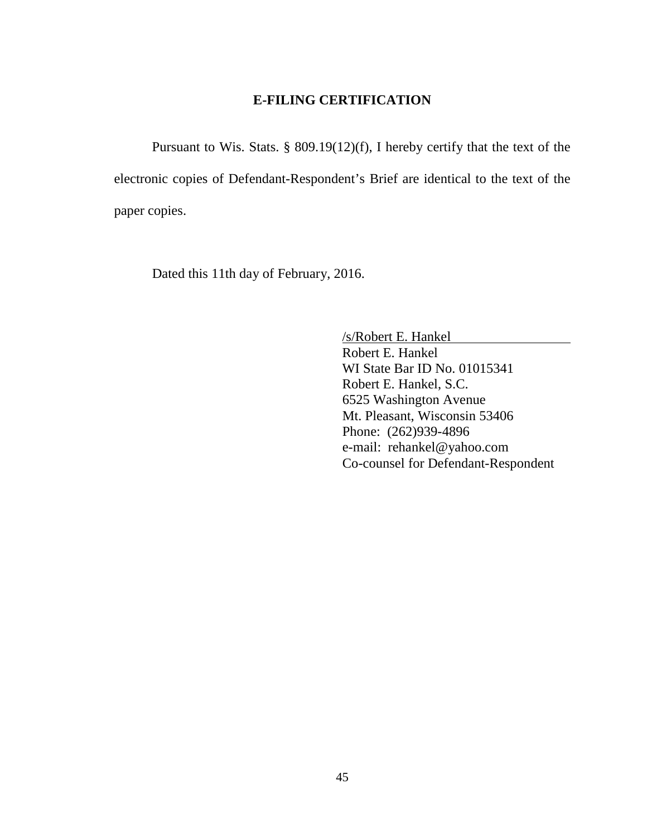### **E-FILING CERTIFICATION**

Pursuant to Wis. Stats. § 809.19(12)(f), I hereby certify that the text of the electronic copies of Defendant-Respondent's Brief are identical to the text of the paper copies.

Dated this 11th day of February, 2016.

/s/Robert E. Hankel Robert E. Hankel WI State Bar ID No. 01015341 Robert E. Hankel, S.C. 6525 Washington Avenue Mt. Pleasant, Wisconsin 53406 Phone: (262)939-4896 e-mail: rehankel@yahoo.com Co-counsel for Defendant-Respondent